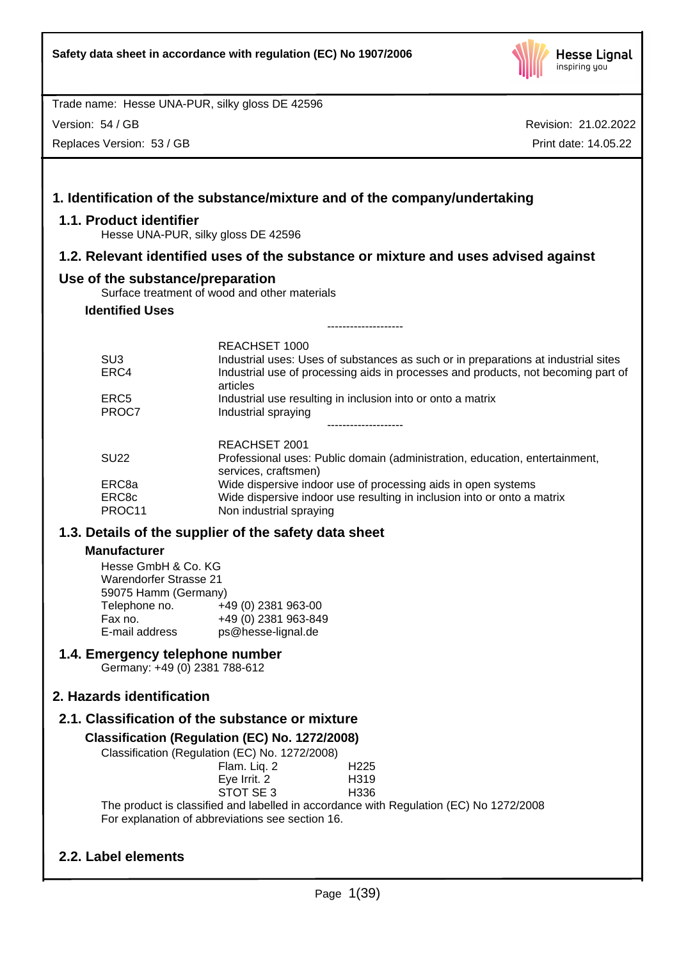

Version: 54 / GB

Replaces Version: 53 / GB

Revision: 21.02.2022 Print date: 14.05.22

# **1. Identification of the substance/mixture and of the company/undertaking 1.1. Product identifier** Hesse UNA-PUR, silky gloss DE 42596 **1.2. Relevant identified uses of the substance or mixture and uses advised against Use of the substance/preparation** Surface treatment of wood and other materials **Identified Uses** -------------------- REACHSET 1000 SU3 **Industrial uses: Uses of substances as such or in preparations at industrial sites** ERC4 Industrial use of processing aids in processes and products, not becoming part of articles ERC5 Industrial use resulting in inclusion into or onto a matrix PROC7 Industrial spraying -------------------- REACHSET 2001 SU22 Professional uses: Public domain (administration, education, entertainment, services, craftsmen) ERC8a Wide dispersive indoor use of processing aids in open systems ERC8c Wide dispersive indoor use resulting in inclusion into or onto a matrix PROC11 Non industrial spraying **1.3. Details of the supplier of the safety data sheet Manufacturer** Hesse GmbH & Co. KG Warendorfer Strasse 21 59075 Hamm (Germany)<br>Telephone no. +4 +49 (0) 2381 963-00 Fax no.  $+49(0)$  2381 963-849<br>E-mail address ps@hesse-lignal.de ps@hesse-lignal.de **1.4. Emergency telephone number** Germany: +49 (0) 2381 788-612 **2. Hazards identification 2.1. Classification of the substance or mixture**

**Classification (Regulation (EC) No. 1272/2008)** Classification (Regulation (EC) No. 1272/2008)

| (Regulation (EV) NO. 12722000) |  |
|--------------------------------|--|
| H <sub>225</sub>               |  |
| H <sub>319</sub>               |  |
| H336                           |  |
|                                |  |

The product is classified and labelled in accordance with Regulation (EC) No 1272/2008 For explanation of abbreviations see section 16.

# **2.2. Label elements**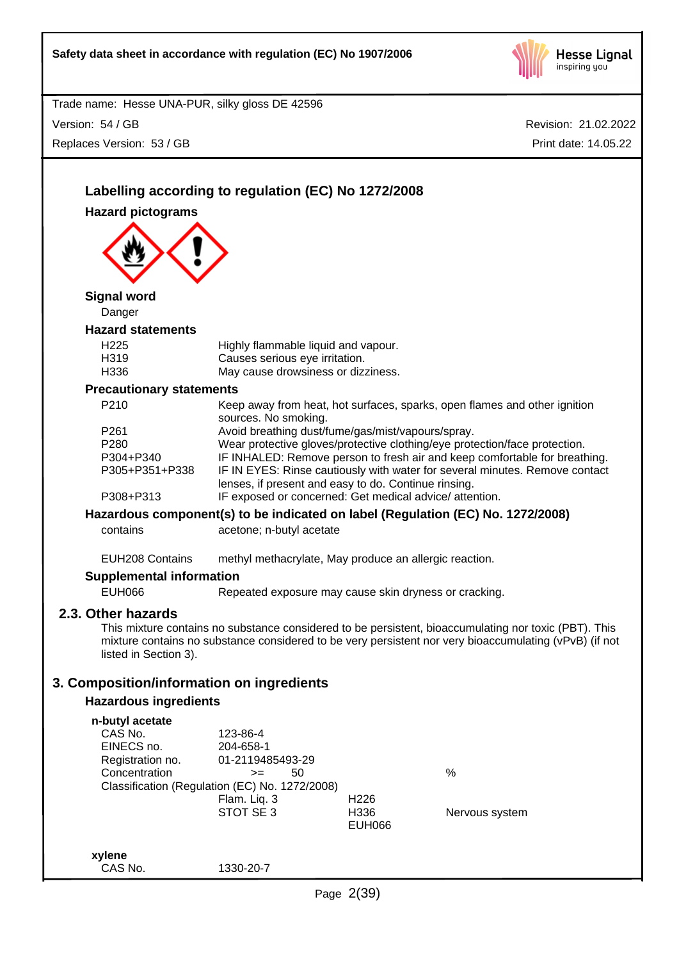

Trade name: Hesse UNA-PUR, silky gloss DE 42596 Version: 54 / GB Replaces Version: 53 / GB

|                                           | Labelling according to regulation (EC) No 1272/2008                   |                       |                                                                                                                                                                                                                 |
|-------------------------------------------|-----------------------------------------------------------------------|-----------------------|-----------------------------------------------------------------------------------------------------------------------------------------------------------------------------------------------------------------|
| <b>Hazard pictograms</b>                  |                                                                       |                       |                                                                                                                                                                                                                 |
|                                           |                                                                       |                       |                                                                                                                                                                                                                 |
|                                           |                                                                       |                       |                                                                                                                                                                                                                 |
|                                           |                                                                       |                       |                                                                                                                                                                                                                 |
| <b>Signal word</b>                        |                                                                       |                       |                                                                                                                                                                                                                 |
| Danger                                    |                                                                       |                       |                                                                                                                                                                                                                 |
| <b>Hazard statements</b>                  |                                                                       |                       |                                                                                                                                                                                                                 |
| H <sub>225</sub><br>H319                  | Highly flammable liquid and vapour.<br>Causes serious eye irritation. |                       |                                                                                                                                                                                                                 |
| H336                                      | May cause drowsiness or dizziness.                                    |                       |                                                                                                                                                                                                                 |
| <b>Precautionary statements</b>           |                                                                       |                       |                                                                                                                                                                                                                 |
| P210                                      |                                                                       |                       | Keep away from heat, hot surfaces, sparks, open flames and other ignition                                                                                                                                       |
|                                           | sources. No smoking.                                                  |                       |                                                                                                                                                                                                                 |
| P261                                      | Avoid breathing dust/fume/gas/mist/vapours/spray.                     |                       |                                                                                                                                                                                                                 |
| P280<br>P304+P340                         |                                                                       |                       | Wear protective gloves/protective clothing/eye protection/face protection.<br>IF INHALED: Remove person to fresh air and keep comfortable for breathing.                                                        |
| P305+P351+P338                            |                                                                       |                       | IF IN EYES: Rinse cautiously with water for several minutes. Remove contact                                                                                                                                     |
|                                           | lenses, if present and easy to do. Continue rinsing.                  |                       |                                                                                                                                                                                                                 |
| P308+P313                                 | IF exposed or concerned: Get medical advice/ attention.               |                       |                                                                                                                                                                                                                 |
|                                           |                                                                       |                       | Hazardous component(s) to be indicated on label (Regulation (EC) No. 1272/2008)                                                                                                                                 |
| contains                                  | acetone; n-butyl acetate                                              |                       |                                                                                                                                                                                                                 |
| <b>EUH208 Contains</b>                    | methyl methacrylate, May produce an allergic reaction.                |                       |                                                                                                                                                                                                                 |
| <b>Supplemental information</b>           |                                                                       |                       |                                                                                                                                                                                                                 |
| <b>EUH066</b>                             | Repeated exposure may cause skin dryness or cracking.                 |                       |                                                                                                                                                                                                                 |
| 2.3. Other hazards                        |                                                                       |                       |                                                                                                                                                                                                                 |
| listed in Section 3).                     |                                                                       |                       | This mixture contains no substance considered to be persistent, bioaccumulating nor toxic (PBT). This<br>mixture contains no substance considered to be very persistent nor very bioaccumulating (vPvB) (if not |
| 3. Composition/information on ingredients |                                                                       |                       |                                                                                                                                                                                                                 |
| <b>Hazardous ingredients</b>              |                                                                       |                       |                                                                                                                                                                                                                 |
| n-butyl acetate                           |                                                                       |                       |                                                                                                                                                                                                                 |
| CAS No.                                   | 123-86-4                                                              |                       |                                                                                                                                                                                                                 |
| EINECS no.                                | 204-658-1                                                             |                       |                                                                                                                                                                                                                 |
| Registration no.                          | 01-2119485493-29                                                      |                       |                                                                                                                                                                                                                 |
| Concentration                             | 50<br>$>=$<br>Classification (Regulation (EC) No. 1272/2008)          |                       | $\%$                                                                                                                                                                                                            |
|                                           | Flam. Liq. 3                                                          | H <sub>226</sub>      |                                                                                                                                                                                                                 |
|                                           | STOT SE 3                                                             | H336<br><b>EUH066</b> | Nervous system                                                                                                                                                                                                  |
| xylene                                    |                                                                       |                       |                                                                                                                                                                                                                 |
| CAS No.                                   | 1330-20-7                                                             |                       |                                                                                                                                                                                                                 |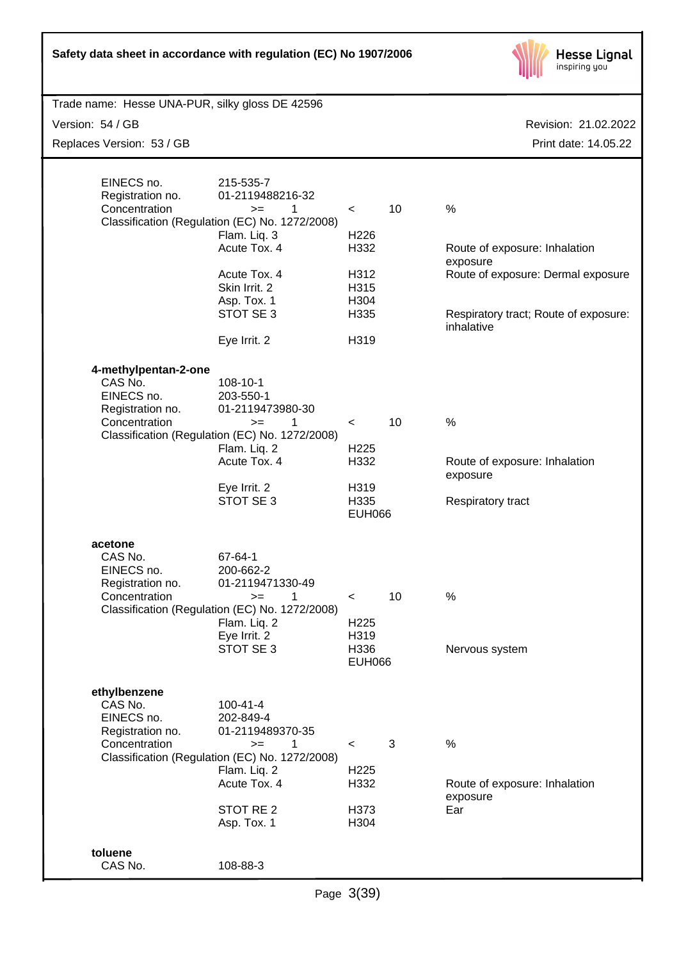| Safety data sheet in accordance with regulation (EC) No 1907/2006 |
|-------------------------------------------------------------------|
|-------------------------------------------------------------------|



| Trade name: Hesse UNA-PUR, silky gloss DE 42596                                    |                                                                                                                                                                                           |                                                                      |                 |                                                                                                                                  |
|------------------------------------------------------------------------------------|-------------------------------------------------------------------------------------------------------------------------------------------------------------------------------------------|----------------------------------------------------------------------|-----------------|----------------------------------------------------------------------------------------------------------------------------------|
| Version: 54 / GB                                                                   |                                                                                                                                                                                           |                                                                      |                 | Revision: 21.02.2022                                                                                                             |
| Replaces Version: 53 / GB                                                          |                                                                                                                                                                                           |                                                                      |                 | Print date: 14.05.22                                                                                                             |
| EINECS no.<br>Registration no.<br>Concentration                                    | 215-535-7<br>01-2119488216-32<br>1<br>$>=$<br>Classification (Regulation (EC) No. 1272/2008)<br>Flam. Liq. 3<br>Acute Tox. 4<br>Acute Tox. 4<br>Skin Irrit. 2<br>Asp. Tox. 1<br>STOT SE 3 | $\prec$<br>H <sub>226</sub><br>H332<br>H312<br>H315<br>H304<br>H335  | 10              | $\%$<br>Route of exposure: Inhalation<br>exposure<br>Route of exposure: Dermal exposure<br>Respiratory tract; Route of exposure: |
|                                                                                    |                                                                                                                                                                                           |                                                                      |                 | inhalative                                                                                                                       |
|                                                                                    | Eye Irrit. 2                                                                                                                                                                              | H319                                                                 |                 |                                                                                                                                  |
| 4-methylpentan-2-one<br>CAS No.<br>EINECS no.<br>Registration no.<br>Concentration | 108-10-1<br>203-550-1<br>01-2119473980-30<br>1<br>$>=$<br>Classification (Regulation (EC) No. 1272/2008)<br>Flam. Liq. 2<br>Acute Tox. 4<br>Eye Irrit. 2<br>STOT SE 3                     | $\,<\,$<br>H <sub>225</sub><br>H332<br>H319<br>H335<br><b>EUH066</b> | 10 <sup>1</sup> | $\%$<br>Route of exposure: Inhalation<br>exposure<br>Respiratory tract                                                           |
| acetone<br>CAS No.<br>EINECS no.<br>Registration no.<br>Concentration              | 67-64-1<br>200-662-2<br>01-2119471330-49<br>1<br>$>=$<br>Classification (Regulation (EC) No. 1272/2008)<br>Flam. Liq. 2<br>Eye Irrit. 2<br>STOT SE 3                                      | $\prec$<br>H <sub>225</sub><br>H319<br>H336<br><b>EUH066</b>         | 10              | $\%$<br>Nervous system                                                                                                           |
| ethylbenzene<br>CAS No.<br>EINECS no.<br>Registration no.<br>Concentration         | $100 - 41 - 4$<br>202-849-4<br>01-2119489370-35<br>1<br>$>=$<br>Classification (Regulation (EC) No. 1272/2008)<br>Flam. Liq. 2<br>Acute Tox. 4<br>STOT RE 2<br>Asp. Tox. 1                | $\,<$<br>H <sub>225</sub><br>H332<br>H373<br>H304                    | 3               | %<br>Route of exposure: Inhalation<br>exposure<br>Ear                                                                            |
| toluene<br>CAS No.                                                                 | 108-88-3                                                                                                                                                                                  |                                                                      |                 |                                                                                                                                  |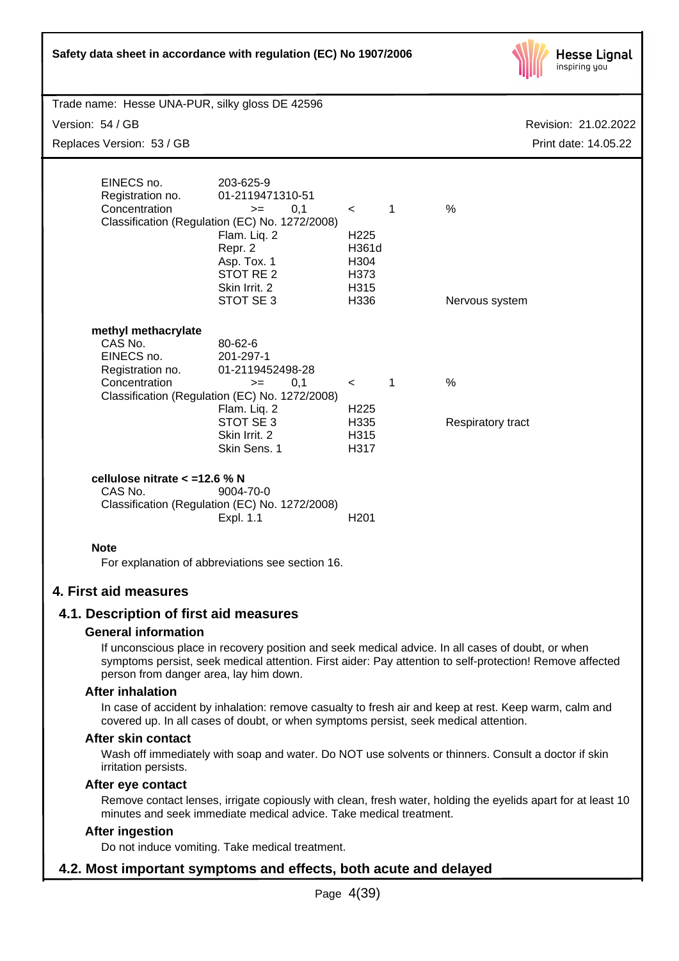| Safety data sheet in accordance with regulation (EC) No 1907/2006                                                                                                                                                                                                                     |                                                                     | <b>Hesse Lignal</b><br>inspiring you |
|---------------------------------------------------------------------------------------------------------------------------------------------------------------------------------------------------------------------------------------------------------------------------------------|---------------------------------------------------------------------|--------------------------------------|
| Trade name: Hesse UNA-PUR, silky gloss DE 42596                                                                                                                                                                                                                                       |                                                                     |                                      |
| Version: 54 / GB                                                                                                                                                                                                                                                                      |                                                                     | Revision: 21.02.2022                 |
| Replaces Version: 53 / GB                                                                                                                                                                                                                                                             |                                                                     | Print date: 14.05.22                 |
| EINECS no.<br>203-625-9<br>Registration no.<br>01-2119471310-51<br>Concentration<br>0,1<br>$>=$<br>Classification (Regulation (EC) No. 1272/2008)                                                                                                                                     | $\mathbf{1}$<br>$\prec$                                             | %                                    |
| Flam. Liq. 2<br>Repr. 2<br>Asp. Tox. 1<br>STOT RE 2<br>Skin Irrit. 2<br>STOT SE3                                                                                                                                                                                                      | H <sub>225</sub><br>H361d<br>H304<br>H373<br>H315<br>H336           | Nervous system                       |
| methyl methacrylate<br>CAS No.<br>80-62-6<br>EINECS no.<br>201-297-1<br>Registration no.<br>01-2119452498-28                                                                                                                                                                          |                                                                     |                                      |
| Concentration<br>0,1<br>$>=$<br>Classification (Regulation (EC) No. 1272/2008)<br>Flam. Liq. 2<br>STOT SE3<br>Skin Irrit. 2<br>Skin Sens. 1                                                                                                                                           | $\mathbf{1}$<br>$\prec$<br>H <sub>225</sub><br>H335<br>H315<br>H317 | %<br><b>Respiratory tract</b>        |
| cellulose nitrate $<$ =12.6 % N<br>CAS No.<br>9004-70-0<br>Classification (Regulation (EC) No. 1272/2008)<br>Expl. 1.1                                                                                                                                                                | H <sub>201</sub>                                                    |                                      |
| <b>Note</b><br>For explanation of abbreviations see section 16.                                                                                                                                                                                                                       |                                                                     |                                      |
| 4. First aid measures                                                                                                                                                                                                                                                                 |                                                                     |                                      |
| 4.1. Description of first aid measures                                                                                                                                                                                                                                                |                                                                     |                                      |
| <b>General information</b><br>If unconscious place in recovery position and seek medical advice. In all cases of doubt, or when<br>symptoms persist, seek medical attention. First aider: Pay attention to self-protection! Remove affected<br>person from danger area, lay him down. |                                                                     |                                      |
| <b>After inhalation</b>                                                                                                                                                                                                                                                               |                                                                     |                                      |
| In case of accident by inhalation: remove casualty to fresh air and keep at rest. Keep warm, calm and<br>covered up. In all cases of doubt, or when symptoms persist, seek medical attention.                                                                                         |                                                                     |                                      |
| After skin contact                                                                                                                                                                                                                                                                    |                                                                     |                                      |
| Wash off immediately with soap and water. Do NOT use solvents or thinners. Consult a doctor if skin<br>irritation persists.                                                                                                                                                           |                                                                     |                                      |
| After eye contact<br>Remove contact lenses, irrigate copiously with clean, fresh water, holding the eyelids apart for at least 10                                                                                                                                                     |                                                                     |                                      |

Remove contact lenses, irrigate copiously with clean, fresh water, holding the eyelids apart for at least 10 minutes and seek immediate medical advice. Take medical treatment.

## **After ingestion**

Do not induce vomiting. Take medical treatment.

# **4.2. Most important symptoms and effects, both acute and delayed**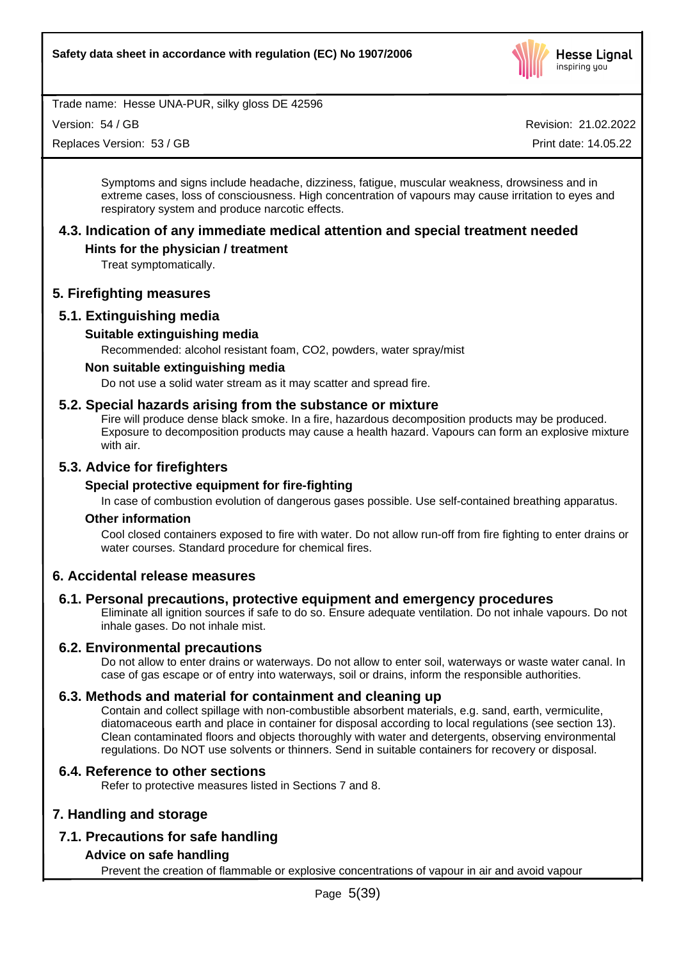

Version: 54 / GB

Replaces Version: 53 / GB

Revision: 21.02.2022

Print date: 14.05.22

Symptoms and signs include headache, dizziness, fatigue, muscular weakness, drowsiness and in extreme cases. loss of consciousness. High concentration of vapours may cause irritation to eyes and respiratory system and produce narcotic effects.

# **4.3. Indication of any immediate medical attention and special treatment needed**

# **Hints for the physician / treatment**

Treat symptomatically.

# **5. Firefighting measures**

# **5.1. Extinguishing media**

# **Suitable extinguishing media**

Recommended: alcohol resistant foam, CO2, powders, water spray/mist

## **Non suitable extinguishing media**

Do not use a solid water stream as it may scatter and spread fire.

# **5.2. Special hazards arising from the substance or mixture**

Fire will produce dense black smoke. In a fire, hazardous decomposition products may be produced. Exposure to decomposition products may cause a health hazard. Vapours can form an explosive mixture with air.

# **5.3. Advice for firefighters**

# **Special protective equipment for fire-fighting**

In case of combustion evolution of dangerous gases possible.Use self-contained breathing apparatus.

## **Other information**

Cool closed containers exposed to fire with water. Do not allow run-off from fire fighting to enter drains or water courses. Standard procedure for chemical fires.

# **6. Accidental release measures**

## **6.1. Personal precautions, protective equipment and emergency procedures**

Eliminate all ignition sources if safe to do so. Ensure adequate ventilation. Do not inhale vapours. Do not inhale gases. Do not inhale mist.

## **6.2. Environmental precautions**

Do not allow to enter drains or waterways. Do not allow to enter soil, waterways or waste water canal. In case of gas escape or of entry into waterways, soil or drains, inform the responsible authorities.

## **6.3. Methods and material for containment and cleaning up**

Contain and collect spillage with non-combustible absorbent materials, e.g. sand, earth, vermiculite, diatomaceous earth and place in container for disposal according to local regulations (see section 13). Clean contaminated floors and objects thoroughly with water and detergents, observing environmental regulations. Do NOT use solvents or thinners. Send in suitable containers for recovery or disposal.

# **6.4. Reference to other sections**

Refer to protective measures listed in Sections 7 and 8.

# **7. Handling and storage**

# **7.1. Precautions for safe handling**

## **Advice on safe handling**

Prevent the creation of flammable or explosive concentrations of vapour in air and avoid vapour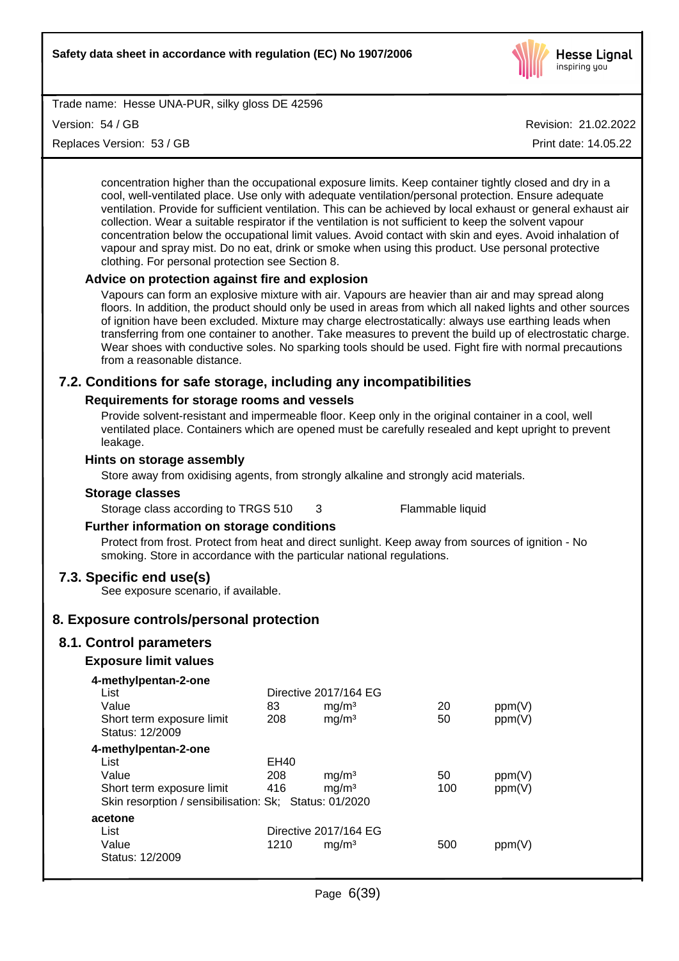

Version: 54 / GB

Replaces Version: 53 / GB

Revision: 21.02.2022 Print date: 14.05.22

concentration higher than the occupational exposure limits. Keep container tightly closed and dry in a cool, well-ventilated place. Use only with adequate ventilation/personal protection. Ensure adequate ventilation. Provide for sufficient ventilation. This can be achieved by local exhaust or general exhaust air collection. Wear a suitable respirator if the ventilation is not sufficient to keep the solvent vapour concentration below the occupational limit values. Avoid contact with skin and eyes. Avoid inhalation of vapour and spray mist. Do no eat, drink or smoke when using this product. Use personal protective clothing. For personal protection see Section 8.

## **Advice on protection against fire and explosion**

Vapours can form an explosive mixture with air. Vapours are heavier than air and may spread along floors. In addition, the product should only be used in areas from which all naked lights and other sources of ignition have been excluded. Mixture may charge electrostatically: always use earthing leads when transferring from one container to another. Take measures to prevent the build up of electrostatic charge. Wear shoes with conductive soles. No sparking tools should be used. Fight fire with normal precautions from a reasonable distance.

# **7.2. Conditions for safe storage, including any incompatibilities**

## **Requirements for storage rooms and vessels**

Provide solvent-resistant and impermeable floor. Keep only in the original container in a cool, well ventilated place. Containers which are opened must be carefully resealed and kept upright to prevent leakage.

## **Hints on storage assembly**

Store away from oxidising agents, from strongly alkaline and strongly acid materials.

## **Storage classes**

Storage class according to TRGS 510 3 Flammable liquid

## **Further information on storage conditions**

Protect from frost. Protect from heat and direct sunlight. Keep away from sources of ignition - No smoking. Store in accordance with the particular national regulations.

## **7.3. Specific end use(s)**

See exposure scenario, if available.

## **8. Exposure controls/personal protection**

## **8.1. Control parameters**

## **Exposure limit values**

| 4-methylpentan-2-one                                   |      |                       |     |        |
|--------------------------------------------------------|------|-----------------------|-----|--------|
| List                                                   |      | Directive 2017/164 EG |     |        |
| Value                                                  | 83   | mg/m <sup>3</sup>     | 20  | ppm(V) |
| Short term exposure limit                              | 208  | mg/m <sup>3</sup>     | 50  | ppm(V) |
| Status: 12/2009                                        |      |                       |     |        |
| 4-methylpentan-2-one                                   |      |                       |     |        |
| List                                                   | EH40 |                       |     |        |
| Value                                                  | 208  | mg/m <sup>3</sup>     | 50  | ppm(V) |
| Short term exposure limit                              | 416  | mg/m <sup>3</sup>     | 100 | ppm(V) |
| Skin resorption / sensibilisation: Sk; Status: 01/2020 |      |                       |     |        |
| acetone                                                |      |                       |     |        |
| List                                                   |      | Directive 2017/164 EG |     |        |
| Value                                                  | 1210 | mg/m <sup>3</sup>     | 500 | ppm(V) |
| Status: 12/2009                                        |      |                       |     |        |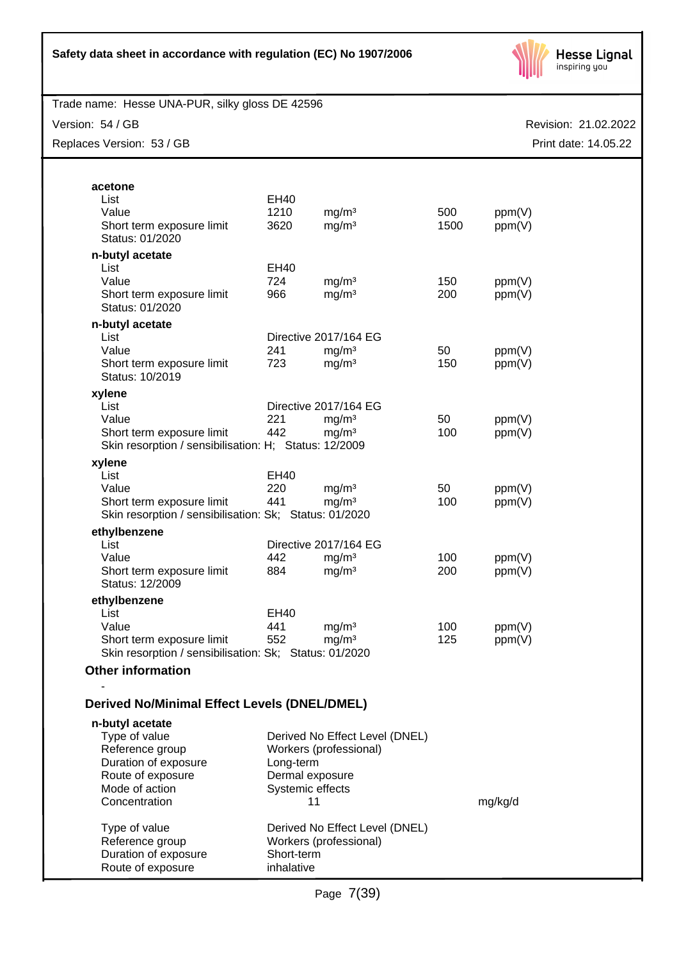

Version: 54 / GB

Replaces Version: 53 / GB

| acetone                                                                            |              |                                        |           |                  |
|------------------------------------------------------------------------------------|--------------|----------------------------------------|-----------|------------------|
| List<br>Value                                                                      | EH40<br>1210 | mg/m <sup>3</sup>                      | 500       | ppm(V)           |
| Short term exposure limit                                                          | 3620         | mg/m <sup>3</sup>                      | 1500      | ppm(V)           |
| Status: 01/2020                                                                    |              |                                        |           |                  |
| n-butyl acetate                                                                    |              |                                        |           |                  |
| List                                                                               | EH40         |                                        |           |                  |
| Value                                                                              | 724          | mg/m <sup>3</sup>                      | 150       | ppm(V)           |
| Short term exposure limit<br>Status: 01/2020                                       | 966          | mg/m <sup>3</sup>                      | 200       | ppm(V)           |
| n-butyl acetate                                                                    |              |                                        |           |                  |
| List<br>Value                                                                      |              | Directive 2017/164 EG                  |           |                  |
| Short term exposure limit                                                          | 241<br>723   | mg/m <sup>3</sup><br>mg/m <sup>3</sup> | 50<br>150 | ppm(V)<br>ppm(V) |
| Status: 10/2019                                                                    |              |                                        |           |                  |
| xylene                                                                             |              |                                        |           |                  |
| List                                                                               |              | Directive 2017/164 EG                  |           |                  |
| Value                                                                              | 221<br>442   | mg/m <sup>3</sup>                      | 50        | ppm(V)           |
| Short term exposure limit<br>Skin resorption / sensibilisation: H; Status: 12/2009 |              | mg/m <sup>3</sup>                      | 100       | ppm(V)           |
| xylene                                                                             |              |                                        |           |                  |
| List                                                                               | EH40         |                                        |           |                  |
| Value                                                                              | 220          | mg/m <sup>3</sup>                      | 50        | ppm(V)           |
| Short term exposure limit                                                          | 441          | mg/m <sup>3</sup>                      | 100       | ppm(V)           |
| Skin resorption / sensibilisation: Sk; Status: 01/2020                             |              |                                        |           |                  |
| ethylbenzene                                                                       |              |                                        |           |                  |
| List                                                                               |              | Directive 2017/164 EG                  |           |                  |
| Value                                                                              | 442          | mg/m <sup>3</sup>                      | 100       | ppm(V)           |
| Short term exposure limit<br>Status: 12/2009                                       | 884          | mg/m <sup>3</sup>                      | 200       | ppm(V)           |
| ethylbenzene                                                                       |              |                                        |           |                  |
| List                                                                               | EH40         |                                        |           |                  |
| Value                                                                              | 441          | mg/m <sup>3</sup>                      | 100       | ppm(V)           |
| Short term exposure limit                                                          | 552          | mg/m <sup>3</sup>                      | 125       | ppm(V)           |
| Skin resorption / sensibilisation: Sk; Status: 01/2020                             |              |                                        |           |                  |
| <b>Other information</b>                                                           |              |                                        |           |                  |
| <b>Derived No/Minimal Effect Levels (DNEL/DMEL)</b>                                |              |                                        |           |                  |
|                                                                                    |              |                                        |           |                  |
| n-butyl acetate<br>Type of value                                                   |              | Derived No Effect Level (DNEL)         |           |                  |
| Reference group                                                                    |              | Workers (professional)                 |           |                  |
| Duration of exposure                                                               | Long-term    |                                        |           |                  |
| Route of exposure                                                                  |              | Dermal exposure                        |           |                  |
| Mode of action                                                                     |              | Systemic effects                       |           |                  |
| Concentration                                                                      |              | 11                                     |           | mg/kg/d          |
| Type of value                                                                      |              | Derived No Effect Level (DNEL)         |           |                  |
| Reference group                                                                    |              | Workers (professional)                 |           |                  |
| Duration of exposure                                                               | Short-term   |                                        |           |                  |
| Route of exposure                                                                  | inhalative   |                                        |           |                  |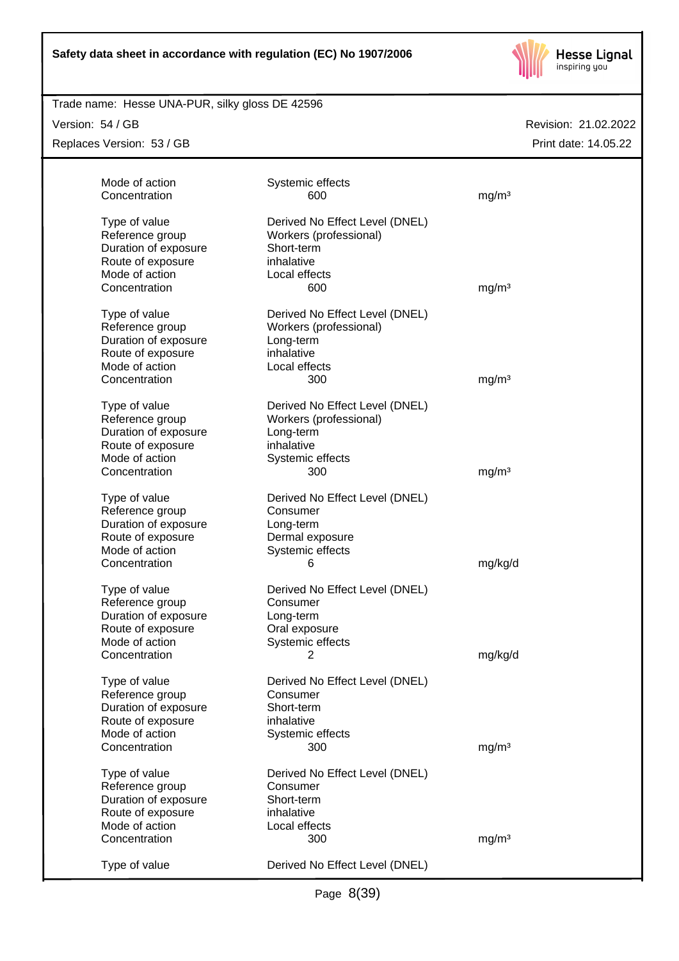

## Trade name: Hesse UNA-PUR, silky gloss DE 42596

Version: 54 / GB

Replaces Version: 53 / GB

| Concentration<br>mg/m <sup>3</sup><br>600<br>Derived No Effect Level (DNEL)<br>Type of value<br>Reference group<br>Workers (professional)<br>Duration of exposure<br>Short-term<br>Route of exposure<br>inhalative<br>Mode of action<br>Local effects<br>Concentration<br>600<br>mg/m <sup>3</sup><br>Type of value<br>Derived No Effect Level (DNEL)<br>Reference group<br>Workers (professional)<br>Duration of exposure<br>Long-term<br>inhalative<br>Route of exposure<br>Mode of action<br>Local effects<br>Concentration<br>300<br>mg/m <sup>3</sup><br>Type of value<br>Derived No Effect Level (DNEL)<br>Reference group<br>Workers (professional)<br>Duration of exposure<br>Long-term<br>Route of exposure<br>inhalative<br>Mode of action<br>Systemic effects<br>Concentration<br>mg/m <sup>3</sup><br>300<br>Type of value<br>Derived No Effect Level (DNEL)<br>Reference group<br>Consumer<br>Duration of exposure<br>Long-term<br>Route of exposure<br>Dermal exposure<br>Mode of action<br>Systemic effects<br>Concentration<br>mg/kg/d<br>6<br>Type of value<br>Derived No Effect Level (DNEL)<br>Reference group<br>Consumer<br>Duration of exposure<br>Long-term<br>Route of exposure<br>Oral exposure<br>Mode of action<br>Systemic effects<br>Concentration<br>2<br>mg/kg/d<br>Type of value<br>Derived No Effect Level (DNEL)<br>Reference group<br>Consumer<br>Duration of exposure<br>Short-term<br>Route of exposure<br>inhalative<br>Mode of action<br>Systemic effects<br>Concentration<br>mg/m <sup>3</sup><br>300<br>Type of value<br>Derived No Effect Level (DNEL)<br>Reference group<br>Consumer<br>Duration of exposure<br>Short-term<br>Route of exposure<br>inhalative<br>Mode of action<br>Local effects<br>Concentration<br>300<br>mg/m <sup>3</sup><br>Type of value<br>Derived No Effect Level (DNEL) | Mode of action | Systemic effects |  |
|---------------------------------------------------------------------------------------------------------------------------------------------------------------------------------------------------------------------------------------------------------------------------------------------------------------------------------------------------------------------------------------------------------------------------------------------------------------------------------------------------------------------------------------------------------------------------------------------------------------------------------------------------------------------------------------------------------------------------------------------------------------------------------------------------------------------------------------------------------------------------------------------------------------------------------------------------------------------------------------------------------------------------------------------------------------------------------------------------------------------------------------------------------------------------------------------------------------------------------------------------------------------------------------------------------------------------------------------------------------------------------------------------------------------------------------------------------------------------------------------------------------------------------------------------------------------------------------------------------------------------------------------------------------------------------------------------------------------------------------------------------------------------------------------------------------------------------------------|----------------|------------------|--|
|                                                                                                                                                                                                                                                                                                                                                                                                                                                                                                                                                                                                                                                                                                                                                                                                                                                                                                                                                                                                                                                                                                                                                                                                                                                                                                                                                                                                                                                                                                                                                                                                                                                                                                                                                                                                                                             |                |                  |  |
|                                                                                                                                                                                                                                                                                                                                                                                                                                                                                                                                                                                                                                                                                                                                                                                                                                                                                                                                                                                                                                                                                                                                                                                                                                                                                                                                                                                                                                                                                                                                                                                                                                                                                                                                                                                                                                             |                |                  |  |
|                                                                                                                                                                                                                                                                                                                                                                                                                                                                                                                                                                                                                                                                                                                                                                                                                                                                                                                                                                                                                                                                                                                                                                                                                                                                                                                                                                                                                                                                                                                                                                                                                                                                                                                                                                                                                                             |                |                  |  |
|                                                                                                                                                                                                                                                                                                                                                                                                                                                                                                                                                                                                                                                                                                                                                                                                                                                                                                                                                                                                                                                                                                                                                                                                                                                                                                                                                                                                                                                                                                                                                                                                                                                                                                                                                                                                                                             |                |                  |  |
|                                                                                                                                                                                                                                                                                                                                                                                                                                                                                                                                                                                                                                                                                                                                                                                                                                                                                                                                                                                                                                                                                                                                                                                                                                                                                                                                                                                                                                                                                                                                                                                                                                                                                                                                                                                                                                             |                |                  |  |
|                                                                                                                                                                                                                                                                                                                                                                                                                                                                                                                                                                                                                                                                                                                                                                                                                                                                                                                                                                                                                                                                                                                                                                                                                                                                                                                                                                                                                                                                                                                                                                                                                                                                                                                                                                                                                                             |                |                  |  |
|                                                                                                                                                                                                                                                                                                                                                                                                                                                                                                                                                                                                                                                                                                                                                                                                                                                                                                                                                                                                                                                                                                                                                                                                                                                                                                                                                                                                                                                                                                                                                                                                                                                                                                                                                                                                                                             |                |                  |  |
|                                                                                                                                                                                                                                                                                                                                                                                                                                                                                                                                                                                                                                                                                                                                                                                                                                                                                                                                                                                                                                                                                                                                                                                                                                                                                                                                                                                                                                                                                                                                                                                                                                                                                                                                                                                                                                             |                |                  |  |
|                                                                                                                                                                                                                                                                                                                                                                                                                                                                                                                                                                                                                                                                                                                                                                                                                                                                                                                                                                                                                                                                                                                                                                                                                                                                                                                                                                                                                                                                                                                                                                                                                                                                                                                                                                                                                                             |                |                  |  |
|                                                                                                                                                                                                                                                                                                                                                                                                                                                                                                                                                                                                                                                                                                                                                                                                                                                                                                                                                                                                                                                                                                                                                                                                                                                                                                                                                                                                                                                                                                                                                                                                                                                                                                                                                                                                                                             |                |                  |  |
|                                                                                                                                                                                                                                                                                                                                                                                                                                                                                                                                                                                                                                                                                                                                                                                                                                                                                                                                                                                                                                                                                                                                                                                                                                                                                                                                                                                                                                                                                                                                                                                                                                                                                                                                                                                                                                             |                |                  |  |
|                                                                                                                                                                                                                                                                                                                                                                                                                                                                                                                                                                                                                                                                                                                                                                                                                                                                                                                                                                                                                                                                                                                                                                                                                                                                                                                                                                                                                                                                                                                                                                                                                                                                                                                                                                                                                                             |                |                  |  |
|                                                                                                                                                                                                                                                                                                                                                                                                                                                                                                                                                                                                                                                                                                                                                                                                                                                                                                                                                                                                                                                                                                                                                                                                                                                                                                                                                                                                                                                                                                                                                                                                                                                                                                                                                                                                                                             |                |                  |  |
|                                                                                                                                                                                                                                                                                                                                                                                                                                                                                                                                                                                                                                                                                                                                                                                                                                                                                                                                                                                                                                                                                                                                                                                                                                                                                                                                                                                                                                                                                                                                                                                                                                                                                                                                                                                                                                             |                |                  |  |
|                                                                                                                                                                                                                                                                                                                                                                                                                                                                                                                                                                                                                                                                                                                                                                                                                                                                                                                                                                                                                                                                                                                                                                                                                                                                                                                                                                                                                                                                                                                                                                                                                                                                                                                                                                                                                                             |                |                  |  |
|                                                                                                                                                                                                                                                                                                                                                                                                                                                                                                                                                                                                                                                                                                                                                                                                                                                                                                                                                                                                                                                                                                                                                                                                                                                                                                                                                                                                                                                                                                                                                                                                                                                                                                                                                                                                                                             |                |                  |  |
|                                                                                                                                                                                                                                                                                                                                                                                                                                                                                                                                                                                                                                                                                                                                                                                                                                                                                                                                                                                                                                                                                                                                                                                                                                                                                                                                                                                                                                                                                                                                                                                                                                                                                                                                                                                                                                             |                |                  |  |
|                                                                                                                                                                                                                                                                                                                                                                                                                                                                                                                                                                                                                                                                                                                                                                                                                                                                                                                                                                                                                                                                                                                                                                                                                                                                                                                                                                                                                                                                                                                                                                                                                                                                                                                                                                                                                                             |                |                  |  |
|                                                                                                                                                                                                                                                                                                                                                                                                                                                                                                                                                                                                                                                                                                                                                                                                                                                                                                                                                                                                                                                                                                                                                                                                                                                                                                                                                                                                                                                                                                                                                                                                                                                                                                                                                                                                                                             |                |                  |  |
|                                                                                                                                                                                                                                                                                                                                                                                                                                                                                                                                                                                                                                                                                                                                                                                                                                                                                                                                                                                                                                                                                                                                                                                                                                                                                                                                                                                                                                                                                                                                                                                                                                                                                                                                                                                                                                             |                |                  |  |
|                                                                                                                                                                                                                                                                                                                                                                                                                                                                                                                                                                                                                                                                                                                                                                                                                                                                                                                                                                                                                                                                                                                                                                                                                                                                                                                                                                                                                                                                                                                                                                                                                                                                                                                                                                                                                                             |                |                  |  |
|                                                                                                                                                                                                                                                                                                                                                                                                                                                                                                                                                                                                                                                                                                                                                                                                                                                                                                                                                                                                                                                                                                                                                                                                                                                                                                                                                                                                                                                                                                                                                                                                                                                                                                                                                                                                                                             |                |                  |  |
|                                                                                                                                                                                                                                                                                                                                                                                                                                                                                                                                                                                                                                                                                                                                                                                                                                                                                                                                                                                                                                                                                                                                                                                                                                                                                                                                                                                                                                                                                                                                                                                                                                                                                                                                                                                                                                             |                |                  |  |
|                                                                                                                                                                                                                                                                                                                                                                                                                                                                                                                                                                                                                                                                                                                                                                                                                                                                                                                                                                                                                                                                                                                                                                                                                                                                                                                                                                                                                                                                                                                                                                                                                                                                                                                                                                                                                                             |                |                  |  |
|                                                                                                                                                                                                                                                                                                                                                                                                                                                                                                                                                                                                                                                                                                                                                                                                                                                                                                                                                                                                                                                                                                                                                                                                                                                                                                                                                                                                                                                                                                                                                                                                                                                                                                                                                                                                                                             |                |                  |  |
|                                                                                                                                                                                                                                                                                                                                                                                                                                                                                                                                                                                                                                                                                                                                                                                                                                                                                                                                                                                                                                                                                                                                                                                                                                                                                                                                                                                                                                                                                                                                                                                                                                                                                                                                                                                                                                             |                |                  |  |
|                                                                                                                                                                                                                                                                                                                                                                                                                                                                                                                                                                                                                                                                                                                                                                                                                                                                                                                                                                                                                                                                                                                                                                                                                                                                                                                                                                                                                                                                                                                                                                                                                                                                                                                                                                                                                                             |                |                  |  |
|                                                                                                                                                                                                                                                                                                                                                                                                                                                                                                                                                                                                                                                                                                                                                                                                                                                                                                                                                                                                                                                                                                                                                                                                                                                                                                                                                                                                                                                                                                                                                                                                                                                                                                                                                                                                                                             |                |                  |  |
|                                                                                                                                                                                                                                                                                                                                                                                                                                                                                                                                                                                                                                                                                                                                                                                                                                                                                                                                                                                                                                                                                                                                                                                                                                                                                                                                                                                                                                                                                                                                                                                                                                                                                                                                                                                                                                             |                |                  |  |
|                                                                                                                                                                                                                                                                                                                                                                                                                                                                                                                                                                                                                                                                                                                                                                                                                                                                                                                                                                                                                                                                                                                                                                                                                                                                                                                                                                                                                                                                                                                                                                                                                                                                                                                                                                                                                                             |                |                  |  |
|                                                                                                                                                                                                                                                                                                                                                                                                                                                                                                                                                                                                                                                                                                                                                                                                                                                                                                                                                                                                                                                                                                                                                                                                                                                                                                                                                                                                                                                                                                                                                                                                                                                                                                                                                                                                                                             |                |                  |  |
|                                                                                                                                                                                                                                                                                                                                                                                                                                                                                                                                                                                                                                                                                                                                                                                                                                                                                                                                                                                                                                                                                                                                                                                                                                                                                                                                                                                                                                                                                                                                                                                                                                                                                                                                                                                                                                             |                |                  |  |
|                                                                                                                                                                                                                                                                                                                                                                                                                                                                                                                                                                                                                                                                                                                                                                                                                                                                                                                                                                                                                                                                                                                                                                                                                                                                                                                                                                                                                                                                                                                                                                                                                                                                                                                                                                                                                                             |                |                  |  |
|                                                                                                                                                                                                                                                                                                                                                                                                                                                                                                                                                                                                                                                                                                                                                                                                                                                                                                                                                                                                                                                                                                                                                                                                                                                                                                                                                                                                                                                                                                                                                                                                                                                                                                                                                                                                                                             |                |                  |  |
|                                                                                                                                                                                                                                                                                                                                                                                                                                                                                                                                                                                                                                                                                                                                                                                                                                                                                                                                                                                                                                                                                                                                                                                                                                                                                                                                                                                                                                                                                                                                                                                                                                                                                                                                                                                                                                             |                |                  |  |
|                                                                                                                                                                                                                                                                                                                                                                                                                                                                                                                                                                                                                                                                                                                                                                                                                                                                                                                                                                                                                                                                                                                                                                                                                                                                                                                                                                                                                                                                                                                                                                                                                                                                                                                                                                                                                                             |                |                  |  |
|                                                                                                                                                                                                                                                                                                                                                                                                                                                                                                                                                                                                                                                                                                                                                                                                                                                                                                                                                                                                                                                                                                                                                                                                                                                                                                                                                                                                                                                                                                                                                                                                                                                                                                                                                                                                                                             |                |                  |  |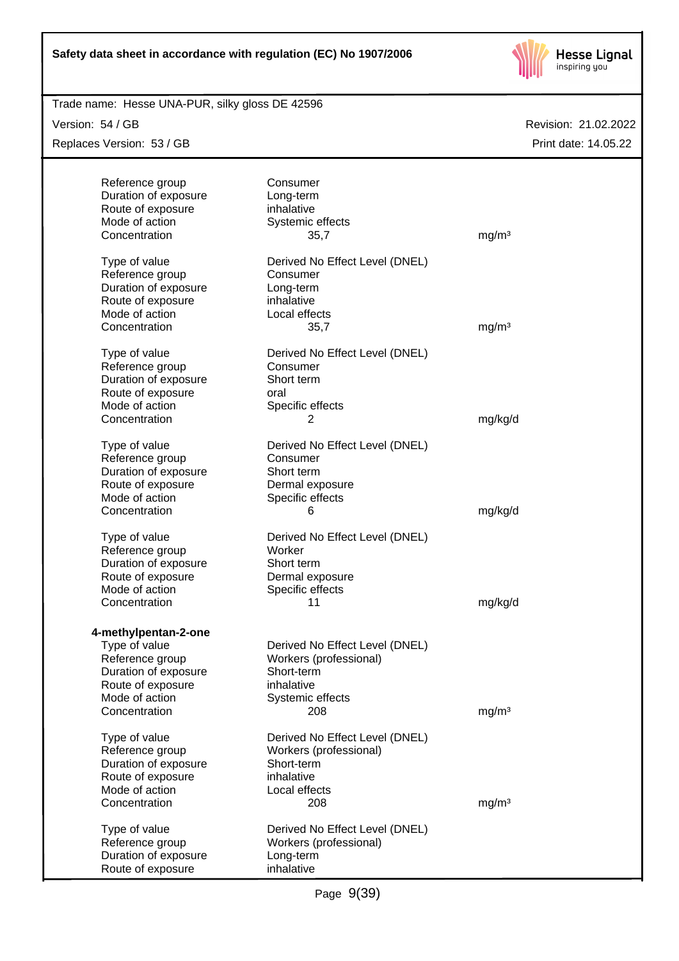

Trade name: Hesse UNA-PUR, silky gloss DE 42596

Version: 54 / GB

Replaces Version: 53 / GB

| Reference group<br>Duration of exposure   | Consumer<br>Long-term                                    |                   |
|-------------------------------------------|----------------------------------------------------------|-------------------|
| Route of exposure                         | inhalative                                               |                   |
| Mode of action                            | Systemic effects                                         |                   |
| Concentration                             | 35,7                                                     | mg/m <sup>3</sup> |
| Type of value                             | Derived No Effect Level (DNEL)                           |                   |
| Reference group                           | Consumer                                                 |                   |
| Duration of exposure<br>Route of exposure | Long-term<br>inhalative                                  |                   |
| Mode of action                            | Local effects                                            |                   |
| Concentration                             | 35,7                                                     | mg/m <sup>3</sup> |
|                                           |                                                          |                   |
| Type of value<br>Reference group          | Derived No Effect Level (DNEL)<br>Consumer               |                   |
| Duration of exposure                      | Short term                                               |                   |
| Route of exposure                         | oral                                                     |                   |
| Mode of action                            | Specific effects                                         |                   |
| Concentration                             | 2                                                        | mg/kg/d           |
| Type of value                             | Derived No Effect Level (DNEL)                           |                   |
| Reference group                           | Consumer                                                 |                   |
| Duration of exposure                      | Short term                                               |                   |
| Route of exposure                         | Dermal exposure                                          |                   |
| Mode of action                            | Specific effects                                         |                   |
| Concentration                             | 6                                                        | mg/kg/d           |
| Type of value                             | Derived No Effect Level (DNEL)                           |                   |
| Reference group                           | Worker                                                   |                   |
| Duration of exposure                      | Short term                                               |                   |
| Route of exposure<br>Mode of action       | Dermal exposure<br>Specific effects                      |                   |
| Concentration                             | 11                                                       | mg/kg/d           |
|                                           |                                                          |                   |
| 4-methylpentan-2-one                      |                                                          |                   |
| Type of value<br>Reference group          | Derived No Effect Level (DNEL)<br>Workers (professional) |                   |
| Duration of exposure                      | Short-term                                               |                   |
| Route of exposure                         | inhalative                                               |                   |
| Mode of action                            | Systemic effects                                         |                   |
| Concentration                             | 208                                                      | mg/m <sup>3</sup> |
| Type of value                             | Derived No Effect Level (DNEL)                           |                   |
| Reference group                           | Workers (professional)                                   |                   |
| Duration of exposure                      | Short-term                                               |                   |
| Route of exposure                         | inhalative                                               |                   |
| Mode of action<br>Concentration           | Local effects<br>208                                     | mg/m <sup>3</sup> |
|                                           |                                                          |                   |
| Type of value                             | Derived No Effect Level (DNEL)                           |                   |
| Reference group                           | Workers (professional)                                   |                   |
| Duration of exposure<br>Route of exposure | Long-term<br>inhalative                                  |                   |
|                                           |                                                          |                   |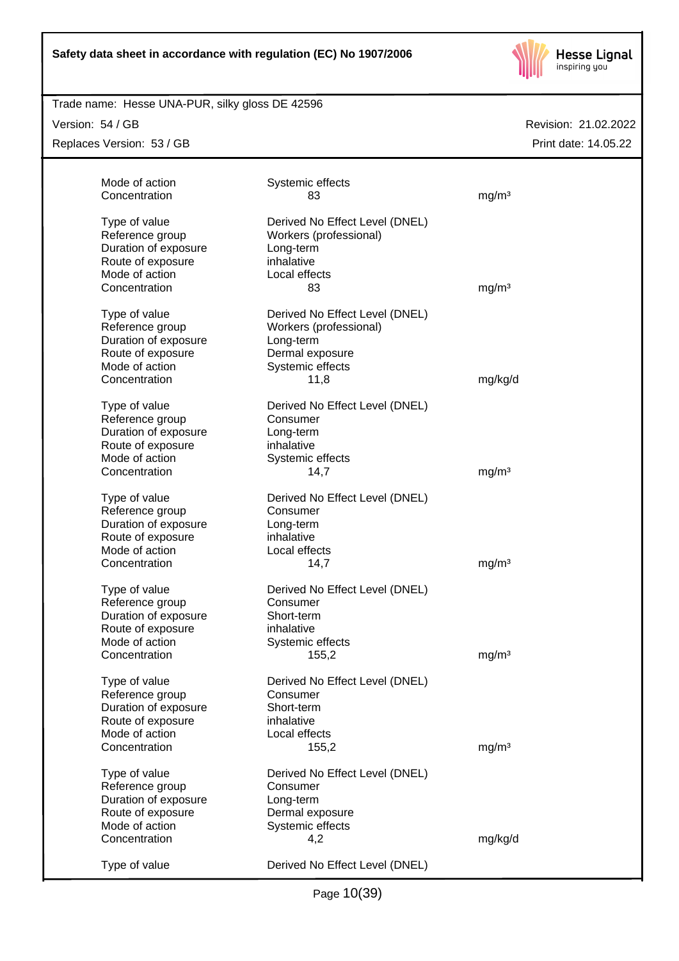

## Trade name: Hesse UNA-PUR, silky gloss DE 42596

Version: 54 / GB

Replaces Version: 53 / GB

| Mode of action                      | Systemic effects               |                   |
|-------------------------------------|--------------------------------|-------------------|
| Concentration                       | 83                             | mg/m <sup>3</sup> |
|                                     |                                |                   |
| Type of value                       | Derived No Effect Level (DNEL) |                   |
| Reference group                     | Workers (professional)         |                   |
| Duration of exposure                | Long-term                      |                   |
| Route of exposure                   | inhalative                     |                   |
| Mode of action                      | Local effects                  |                   |
| Concentration                       | 83                             | mg/m <sup>3</sup> |
| Type of value                       | Derived No Effect Level (DNEL) |                   |
| Reference group                     | Workers (professional)         |                   |
| Duration of exposure                | Long-term                      |                   |
| Route of exposure                   | Dermal exposure                |                   |
| Mode of action                      | Systemic effects               |                   |
| Concentration                       | 11,8                           | mg/kg/d           |
|                                     |                                |                   |
| Type of value                       | Derived No Effect Level (DNEL) |                   |
| Reference group                     | Consumer                       |                   |
| Duration of exposure                | Long-term                      |                   |
| Route of exposure                   | inhalative                     |                   |
| Mode of action                      | Systemic effects               |                   |
| Concentration                       | 14,7                           | mg/m <sup>3</sup> |
| Type of value                       | Derived No Effect Level (DNEL) |                   |
| Reference group                     | Consumer                       |                   |
| Duration of exposure                | Long-term                      |                   |
| Route of exposure                   | inhalative                     |                   |
| Mode of action                      | Local effects                  |                   |
| Concentration                       | 14,7                           | mg/m <sup>3</sup> |
|                                     |                                |                   |
| Type of value                       | Derived No Effect Level (DNEL) |                   |
| Reference group                     | Consumer                       |                   |
| Duration of exposure                | Short-term                     |                   |
| Route of exposure<br>Mode of action | inhalative<br>Systemic effects |                   |
| Concentration                       | 155,2                          | mg/m <sup>3</sup> |
|                                     |                                |                   |
| Type of value                       | Derived No Effect Level (DNEL) |                   |
| Reference group                     | Consumer                       |                   |
| Duration of exposure                | Short-term                     |                   |
| Route of exposure                   | inhalative                     |                   |
| Mode of action                      | Local effects                  |                   |
| Concentration                       | 155,2                          | mg/m <sup>3</sup> |
| Type of value                       | Derived No Effect Level (DNEL) |                   |
| Reference group                     | Consumer                       |                   |
| Duration of exposure                | Long-term                      |                   |
| Route of exposure                   | Dermal exposure                |                   |
| Mode of action                      | Systemic effects               |                   |
| Concentration                       | 4,2                            | mg/kg/d           |
|                                     |                                |                   |
| Type of value                       | Derived No Effect Level (DNEL) |                   |
|                                     |                                |                   |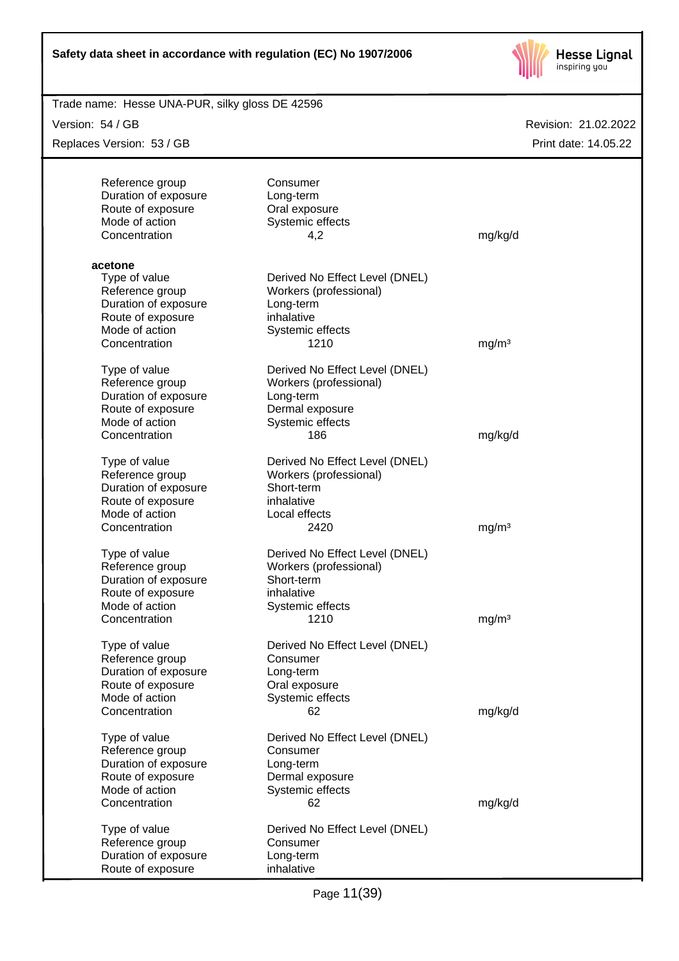

| Trade name: Hesse UNA-PUR, silky gloss DE 42596 |                                |                      |
|-------------------------------------------------|--------------------------------|----------------------|
| Version: 54 / GB                                |                                | Revision: 21.02.2022 |
| Replaces Version: 53 / GB                       |                                | Print date: 14.05.22 |
|                                                 | Consumer                       |                      |
| Reference group<br>Duration of exposure         | Long-term                      |                      |
| Route of exposure                               | Oral exposure                  |                      |
| Mode of action                                  | Systemic effects               |                      |
| Concentration                                   | 4,2                            | mg/kg/d              |
|                                                 |                                |                      |
| acetone                                         |                                |                      |
| Type of value                                   | Derived No Effect Level (DNEL) |                      |
| Reference group                                 | Workers (professional)         |                      |
| Duration of exposure                            | Long-term                      |                      |
| Route of exposure                               | inhalative                     |                      |
| Mode of action                                  | Systemic effects               |                      |
| Concentration                                   | 1210                           | mg/m <sup>3</sup>    |
| Type of value                                   | Derived No Effect Level (DNEL) |                      |
| Reference group                                 | Workers (professional)         |                      |
| Duration of exposure                            | Long-term                      |                      |
| Route of exposure                               | Dermal exposure                |                      |
| Mode of action                                  | Systemic effects               |                      |
| Concentration                                   | 186                            | mg/kg/d              |
| Type of value                                   | Derived No Effect Level (DNEL) |                      |
| Reference group                                 | Workers (professional)         |                      |
| Duration of exposure                            | Short-term                     |                      |
| Route of exposure                               | inhalative                     |                      |
| Mode of action                                  | Local effects                  |                      |
| Concentration                                   | 2420                           | mg/m <sup>3</sup>    |
| Type of value                                   | Derived No Effect Level (DNEL) |                      |
| Reference group                                 | Workers (professional)         |                      |
| Duration of exposure                            | Short-term                     |                      |
| Route of exposure                               | inhalative                     |                      |
| Mode of action                                  | Systemic effects               |                      |
| Concentration                                   | 1210                           | mg/m <sup>3</sup>    |
|                                                 |                                |                      |
| Type of value                                   | Derived No Effect Level (DNEL) |                      |
| Reference group                                 | Consumer                       |                      |
| Duration of exposure                            | Long-term                      |                      |
| Route of exposure                               | Oral exposure                  |                      |
| Mode of action                                  | Systemic effects               |                      |
| Concentration                                   | 62                             | mg/kg/d              |
| Type of value                                   | Derived No Effect Level (DNEL) |                      |
| Reference group                                 | Consumer                       |                      |
| Duration of exposure                            | Long-term                      |                      |
| Route of exposure                               | Dermal exposure                |                      |
| Mode of action                                  | Systemic effects               |                      |
| Concentration                                   | 62                             | mg/kg/d              |
| Type of value                                   | Derived No Effect Level (DNEL) |                      |
| Reference group                                 | Consumer                       |                      |
| Duration of exposure                            | Long-term                      |                      |
| Route of exposure                               | inhalative                     |                      |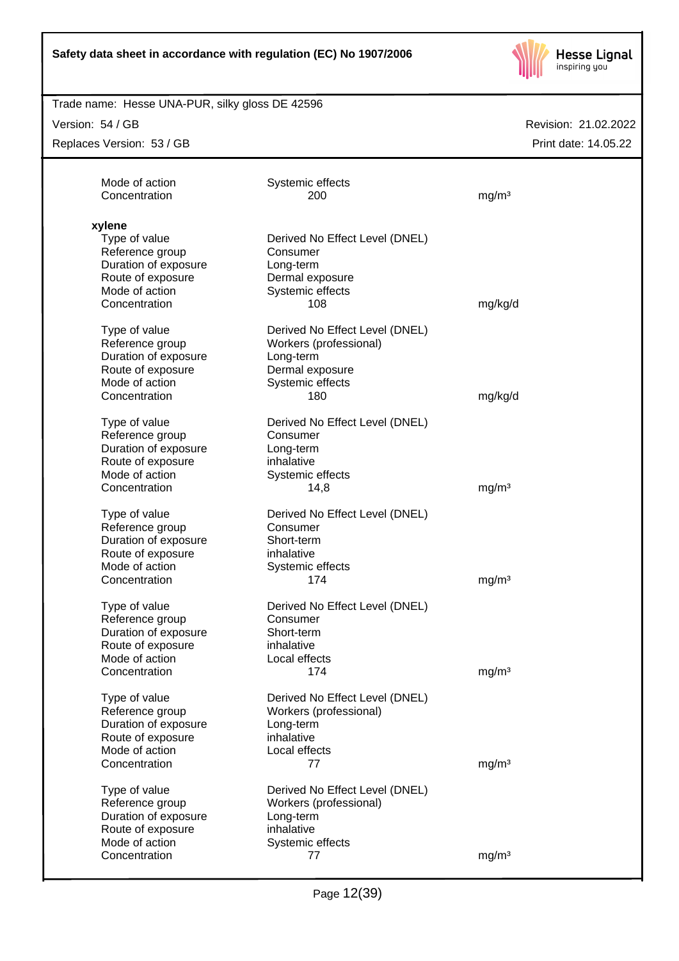

Trade name: Hesse UNA-PUR, silky gloss DE 42596

Version: 54 / GB

Replaces Version: 53 / GB

| Mode of action<br>Concentration     | Systemic effects<br>200        | mg/m <sup>3</sup> |
|-------------------------------------|--------------------------------|-------------------|
| xylene                              |                                |                   |
| Type of value                       | Derived No Effect Level (DNEL) |                   |
| Reference group                     | Consumer                       |                   |
| Duration of exposure                | Long-term                      |                   |
| Route of exposure<br>Mode of action | Dermal exposure                |                   |
| Concentration                       | Systemic effects<br>108        | mg/kg/d           |
|                                     |                                |                   |
| Type of value                       | Derived No Effect Level (DNEL) |                   |
| Reference group                     | Workers (professional)         |                   |
| Duration of exposure                | Long-term                      |                   |
| Route of exposure                   | Dermal exposure                |                   |
| Mode of action                      | Systemic effects               |                   |
| Concentration                       | 180                            | mg/kg/d           |
| Type of value                       | Derived No Effect Level (DNEL) |                   |
| Reference group                     | Consumer                       |                   |
| Duration of exposure                | Long-term                      |                   |
| Route of exposure                   | inhalative                     |                   |
| Mode of action                      | Systemic effects               |                   |
| Concentration                       | 14,8                           | mg/m <sup>3</sup> |
| Type of value                       | Derived No Effect Level (DNEL) |                   |
| Reference group                     | Consumer                       |                   |
| Duration of exposure                | Short-term                     |                   |
| Route of exposure                   | inhalative                     |                   |
| Mode of action                      | Systemic effects               |                   |
| Concentration                       | 174                            | mg/m <sup>3</sup> |
| Type of value                       | Derived No Effect Level (DNEL) |                   |
| Reference group                     | Consumer                       |                   |
| Duration of exposure                | Short-term                     |                   |
| Route of exposure                   | inhalative                     |                   |
| Mode of action                      | Local effects                  |                   |
| Concentration                       | 174                            | mg/m <sup>3</sup> |
| Type of value                       | Derived No Effect Level (DNEL) |                   |
| Reference group                     | Workers (professional)         |                   |
| Duration of exposure                | Long-term                      |                   |
| Route of exposure                   | inhalative                     |                   |
| Mode of action                      | Local effects                  |                   |
| Concentration                       | 77                             | mg/m <sup>3</sup> |
| Type of value                       | Derived No Effect Level (DNEL) |                   |
| Reference group                     | Workers (professional)         |                   |
| Duration of exposure                | Long-term                      |                   |
| Route of exposure                   | inhalative                     |                   |
| Mode of action                      | Systemic effects               |                   |
| Concentration                       | 77                             | mg/m <sup>3</sup> |
|                                     |                                |                   |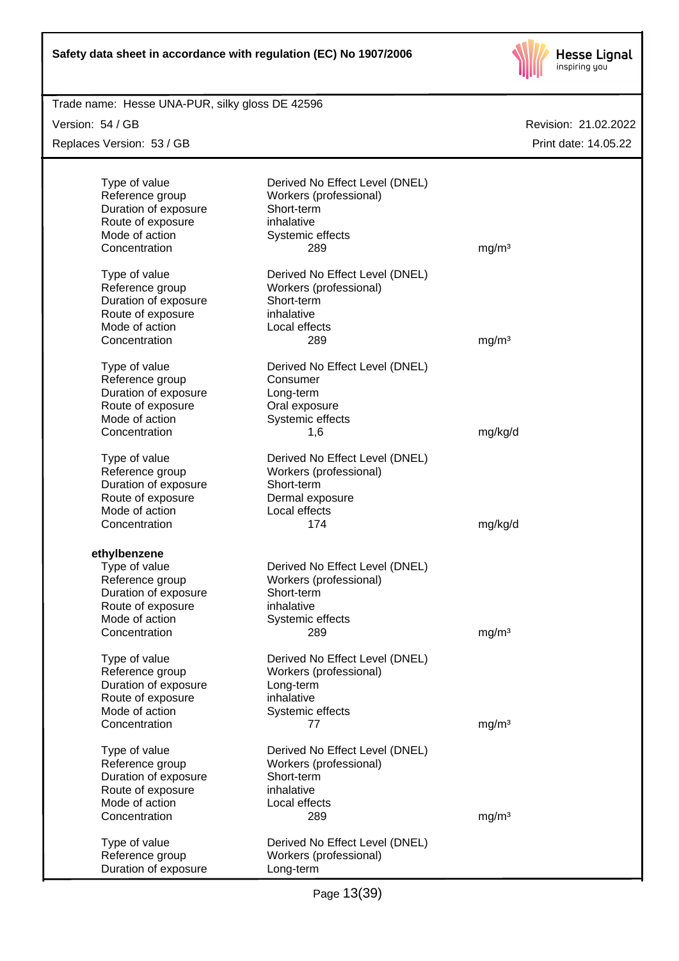

Trade name: Hesse UNA-PUR, silky gloss DE 42596

Version: 54 / GB

Replaces Version: 53 / GB

| Type of value        | Derived No Effect Level (DNEL) |                   |
|----------------------|--------------------------------|-------------------|
| Reference group      | Workers (professional)         |                   |
| Duration of exposure | Short-term                     |                   |
|                      |                                |                   |
| Route of exposure    | inhalative                     |                   |
| Mode of action       | Systemic effects               |                   |
| Concentration        | 289                            | mg/m <sup>3</sup> |
|                      |                                |                   |
| Type of value        | Derived No Effect Level (DNEL) |                   |
| Reference group      | Workers (professional)         |                   |
| Duration of exposure | Short-term                     |                   |
| Route of exposure    | inhalative                     |                   |
| Mode of action       | Local effects                  |                   |
| Concentration        | 289                            | mg/m <sup>3</sup> |
|                      |                                |                   |
| Type of value        | Derived No Effect Level (DNEL) |                   |
| Reference group      | Consumer                       |                   |
| Duration of exposure | Long-term                      |                   |
| Route of exposure    | Oral exposure                  |                   |
| Mode of action       | Systemic effects               |                   |
| Concentration        | 1,6                            | mg/kg/d           |
|                      |                                |                   |
| Type of value        | Derived No Effect Level (DNEL) |                   |
| Reference group      | Workers (professional)         |                   |
| Duration of exposure | Short-term                     |                   |
| Route of exposure    |                                |                   |
|                      | Dermal exposure                |                   |
| Mode of action       | Local effects                  |                   |
| Concentration        | 174                            | mg/kg/d           |
|                      |                                |                   |
| ethylbenzene         |                                |                   |
| Type of value        | Derived No Effect Level (DNEL) |                   |
| Reference group      | Workers (professional)         |                   |
| Duration of exposure | Short-term                     |                   |
| Route of exposure    | inhalative                     |                   |
| Mode of action       | Systemic effects               |                   |
| Concentration        | 289                            | mg/m <sup>3</sup> |
|                      |                                |                   |
| Type of value        | Derived No Effect Level (DNEL) |                   |
| Reference group      | Workers (professional)         |                   |
| Duration of exposure | Long-term                      |                   |
| Route of exposure    | inhalative                     |                   |
| Mode of action       | Systemic effects               |                   |
| Concentration        | 77                             | mg/m <sup>3</sup> |
|                      |                                |                   |
| Type of value        | Derived No Effect Level (DNEL) |                   |
| Reference group      | Workers (professional)         |                   |
| Duration of exposure | Short-term                     |                   |
|                      | inhalative                     |                   |
| Route of exposure    |                                |                   |
| Mode of action       | Local effects                  |                   |
| Concentration        | 289                            | mg/m <sup>3</sup> |
|                      |                                |                   |
| Type of value        | Derived No Effect Level (DNEL) |                   |
| Reference group      | Workers (professional)         |                   |
| Duration of exposure | Long-term                      |                   |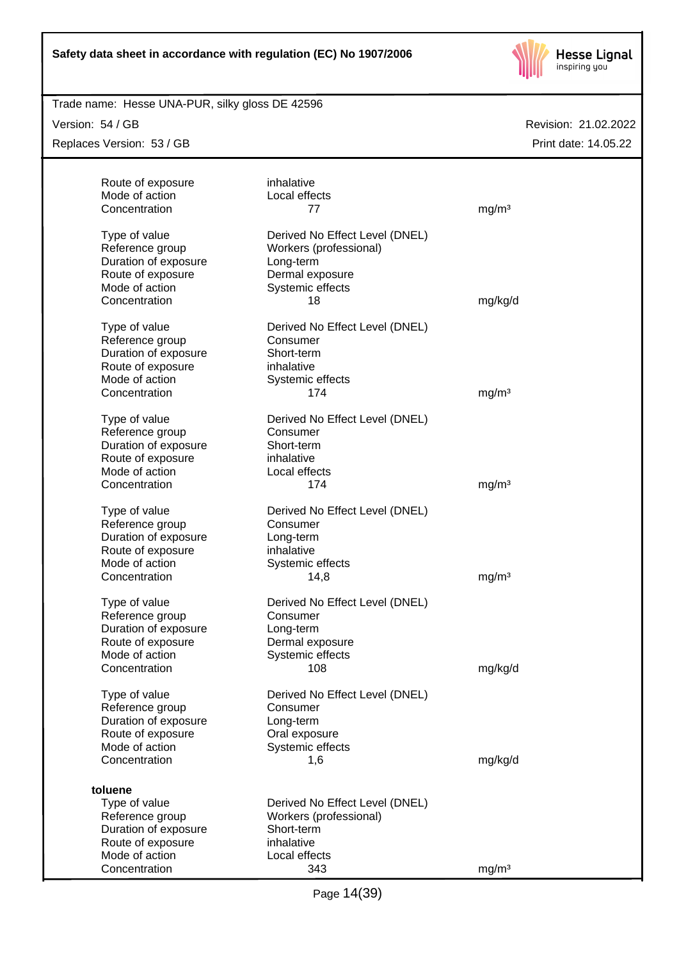

Trade name: Hesse UNA-PUR, silky gloss DE 42596

Version: 54 / GB

Replaces Version: 53 / GB

| Route of exposure    | inhalative                     |                   |
|----------------------|--------------------------------|-------------------|
| Mode of action       | Local effects                  |                   |
| Concentration        | 77                             | mg/m <sup>3</sup> |
|                      |                                |                   |
| Type of value        | Derived No Effect Level (DNEL) |                   |
| Reference group      | Workers (professional)         |                   |
| Duration of exposure | Long-term                      |                   |
| Route of exposure    | Dermal exposure                |                   |
| Mode of action       | Systemic effects               |                   |
| Concentration        | 18                             | mg/kg/d           |
| Type of value        | Derived No Effect Level (DNEL) |                   |
| Reference group      | Consumer                       |                   |
| Duration of exposure | Short-term                     |                   |
| Route of exposure    | inhalative                     |                   |
| Mode of action       | Systemic effects               |                   |
| Concentration        | 174                            | mg/m <sup>3</sup> |
|                      |                                |                   |
| Type of value        | Derived No Effect Level (DNEL) |                   |
| Reference group      | Consumer                       |                   |
| Duration of exposure | Short-term                     |                   |
| Route of exposure    | inhalative                     |                   |
| Mode of action       | Local effects                  |                   |
| Concentration        | 174                            | mg/m <sup>3</sup> |
|                      |                                |                   |
| Type of value        | Derived No Effect Level (DNEL) |                   |
| Reference group      | Consumer                       |                   |
| Duration of exposure | Long-term                      |                   |
| Route of exposure    | inhalative                     |                   |
| Mode of action       | Systemic effects               |                   |
| Concentration        | 14,8                           | mg/m <sup>3</sup> |
|                      |                                |                   |
| Type of value        | Derived No Effect Level (DNEL) |                   |
| Reference group      | Consumer                       |                   |
| Duration of exposure | Long-term                      |                   |
| Route of exposure    | Dermal exposure                |                   |
| Mode of action       | Systemic effects               |                   |
| Concentration        | 108                            | mg/kg/d           |
|                      |                                |                   |
| Type of value        | Derived No Effect Level (DNEL) |                   |
| Reference group      | Consumer                       |                   |
| Duration of exposure | Long-term                      |                   |
| Route of exposure    | Oral exposure                  |                   |
| Mode of action       | Systemic effects               |                   |
| Concentration        | 1,6                            | mg/kg/d           |
|                      |                                |                   |
| toluene              |                                |                   |
| Type of value        | Derived No Effect Level (DNEL) |                   |
| Reference group      | Workers (professional)         |                   |
| Duration of exposure | Short-term                     |                   |
| Route of exposure    | inhalative                     |                   |
| Mode of action       | Local effects                  |                   |
| Concentration        | 343                            | mg/m <sup>3</sup> |
|                      |                                |                   |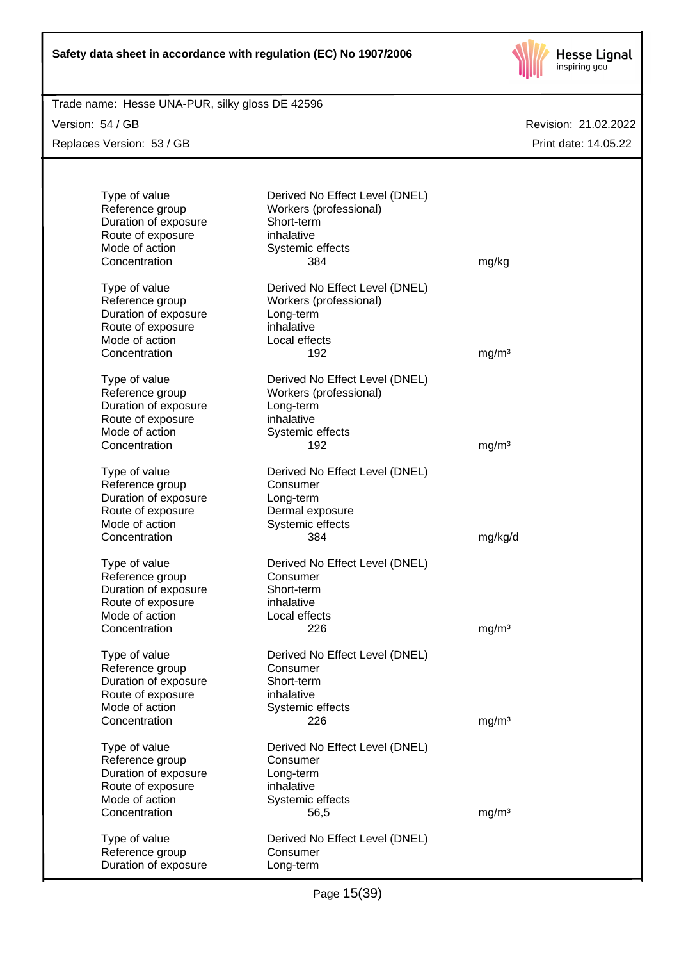

Trade name: Hesse UNA-PUR, silky gloss DE 42596

Version: 54 / GB Replaces Version: 53 / GB

| Type of value<br>Reference group<br>Duration of exposure<br>Route of exposure<br>Mode of action<br>Concentration | Derived No Effect Level (DNEL)<br>Workers (professional)<br>Short-term<br>inhalative<br>Systemic effects<br>384 | mg/kg             |
|------------------------------------------------------------------------------------------------------------------|-----------------------------------------------------------------------------------------------------------------|-------------------|
| Type of value<br>Reference group<br>Duration of exposure<br>Route of exposure<br>Mode of action<br>Concentration | Derived No Effect Level (DNEL)<br>Workers (professional)<br>Long-term<br>inhalative<br>Local effects<br>192     | mg/m <sup>3</sup> |
| Type of value<br>Reference group<br>Duration of exposure<br>Route of exposure<br>Mode of action<br>Concentration | Derived No Effect Level (DNEL)<br>Workers (professional)<br>Long-term<br>inhalative<br>Systemic effects<br>192  | mg/m <sup>3</sup> |
| Type of value<br>Reference group<br>Duration of exposure<br>Route of exposure<br>Mode of action<br>Concentration | Derived No Effect Level (DNEL)<br>Consumer<br>Long-term<br>Dermal exposure<br>Systemic effects<br>384           | mg/kg/d           |
| Type of value<br>Reference group<br>Duration of exposure<br>Route of exposure<br>Mode of action<br>Concentration | Derived No Effect Level (DNEL)<br>Consumer<br>Short-term<br>inhalative<br>Local effects<br>226                  | mg/m <sup>3</sup> |
| Type of value<br>Reference group<br>Duration of exposure<br>Route of exposure<br>Mode of action<br>Concentration | Derived No Effect Level (DNEL)<br>Consumer<br>Short-term<br>inhalative<br>Systemic effects<br>226               | mg/m <sup>3</sup> |
| Type of value<br>Reference group<br>Duration of exposure<br>Route of exposure<br>Mode of action<br>Concentration | Derived No Effect Level (DNEL)<br>Consumer<br>Long-term<br>inhalative<br>Systemic effects<br>56,5               | mg/m <sup>3</sup> |
| Type of value<br>Reference group<br>Duration of exposure                                                         | Derived No Effect Level (DNEL)<br>Consumer<br>Long-term                                                         |                   |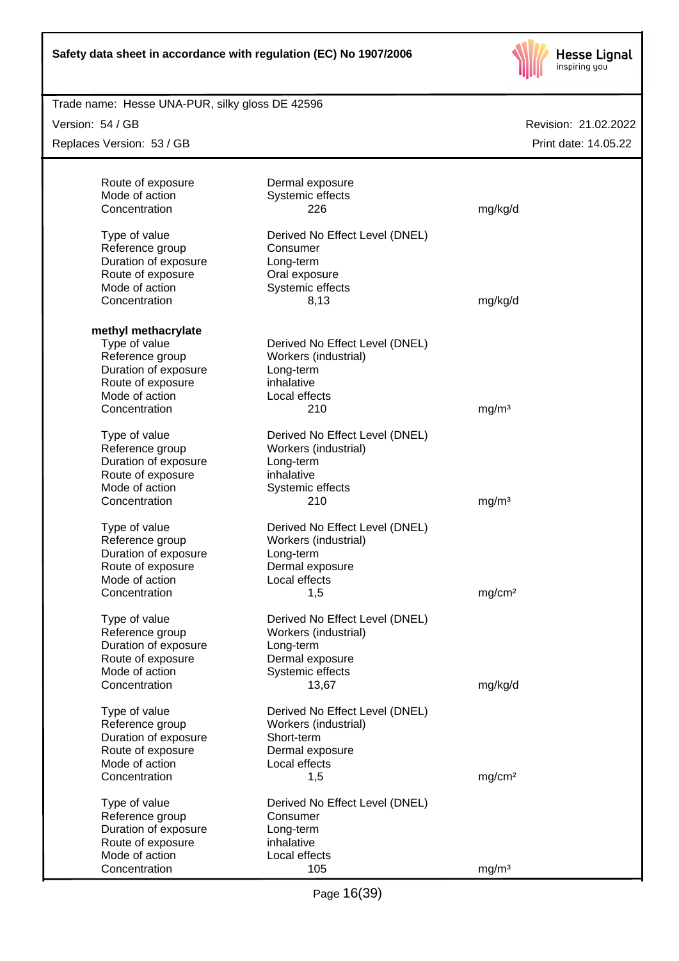

# Trade name: Hesse UNA-PUR, silky gloss DE 42596

Version: 54 / GB

Replaces Version: 53 / GB

| Route of exposure<br>Mode of action | Dermal exposure<br>Systemic effects |                    |
|-------------------------------------|-------------------------------------|--------------------|
| Concentration                       | 226                                 | mg/kg/d            |
| Type of value                       | Derived No Effect Level (DNEL)      |                    |
| Reference group                     | Consumer                            |                    |
| Duration of exposure                | Long-term                           |                    |
| Route of exposure                   | Oral exposure                       |                    |
| Mode of action                      | Systemic effects                    |                    |
| Concentration                       | 8,13                                | mg/kg/d            |
| methyl methacrylate                 |                                     |                    |
| Type of value                       | Derived No Effect Level (DNEL)      |                    |
| Reference group                     | Workers (industrial)                |                    |
| Duration of exposure                | Long-term                           |                    |
| Route of exposure                   | inhalative                          |                    |
| Mode of action<br>Concentration     | Local effects<br>210                |                    |
|                                     |                                     | mg/m <sup>3</sup>  |
| Type of value                       | Derived No Effect Level (DNEL)      |                    |
| Reference group                     | Workers (industrial)                |                    |
| Duration of exposure                | Long-term                           |                    |
| Route of exposure                   | inhalative                          |                    |
| Mode of action<br>Concentration     | Systemic effects<br>210             | mg/m <sup>3</sup>  |
|                                     |                                     |                    |
| Type of value                       | Derived No Effect Level (DNEL)      |                    |
| Reference group                     | Workers (industrial)                |                    |
| Duration of exposure                | Long-term                           |                    |
| Route of exposure                   | Dermal exposure                     |                    |
| Mode of action<br>Concentration     | Local effects                       |                    |
|                                     | 1,5                                 | mg/cm <sup>2</sup> |
| Type of value                       | Derived No Effect Level (DNEL)      |                    |
| Reference group                     | Workers (industrial)                |                    |
| Duration of exposure                | Long-term                           |                    |
| Route of exposure                   | Dermal exposure                     |                    |
| Mode of action                      | Systemic effects                    | mg/kg/d            |
| Concentration                       | 13,67                               |                    |
| Type of value                       | Derived No Effect Level (DNEL)      |                    |
| Reference group                     | Workers (industrial)                |                    |
| Duration of exposure                | Short-term                          |                    |
| Route of exposure                   | Dermal exposure                     |                    |
| Mode of action<br>Concentration     | Local effects                       |                    |
|                                     | 1,5                                 | mq/cm <sup>2</sup> |
| Type of value                       | Derived No Effect Level (DNEL)      |                    |
| Reference group                     | Consumer                            |                    |
| Duration of exposure                | Long-term                           |                    |
| Route of exposure<br>Mode of action | inhalative<br>Local effects         |                    |
| Concentration                       | 105                                 | mg/m <sup>3</sup>  |
|                                     |                                     |                    |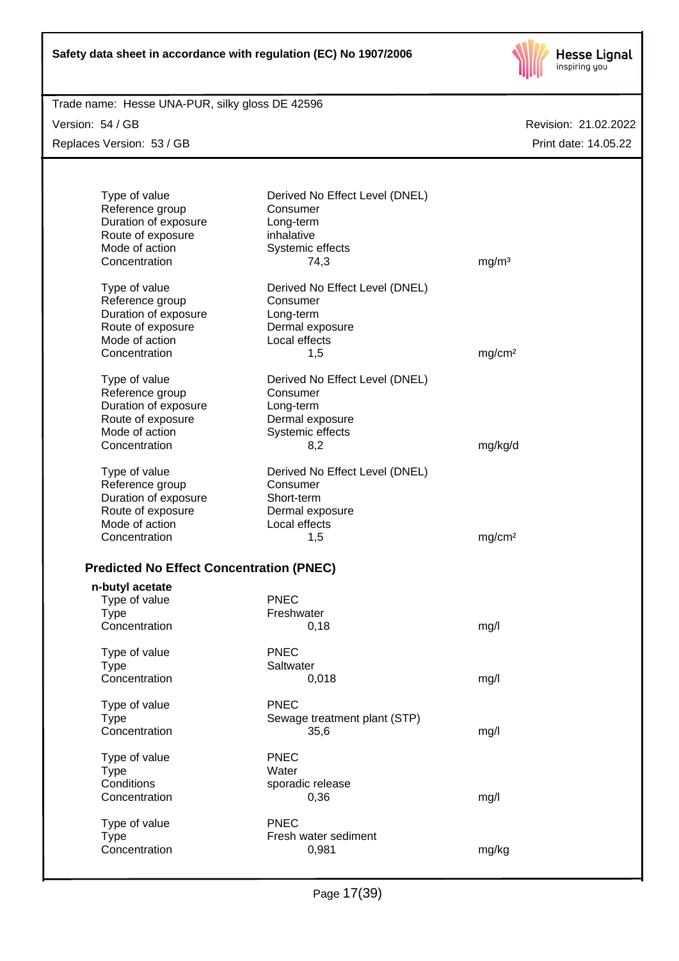

Trade name: Hesse UNA-PUR, silky gloss DE 42596

Version: 54 / GB Replaces Version: 53 / GB

| Type of value<br>Reference group                | Derived No Effect Level (DNEL)<br>Consumer |                    |  |
|-------------------------------------------------|--------------------------------------------|--------------------|--|
| Duration of exposure                            | Long-term                                  |                    |  |
| Route of exposure                               | inhalative                                 |                    |  |
| Mode of action                                  | Systemic effects                           |                    |  |
| Concentration                                   | 74,3                                       | mg/m <sup>3</sup>  |  |
|                                                 |                                            |                    |  |
| Type of value                                   | Derived No Effect Level (DNEL)             |                    |  |
| Reference group                                 | Consumer                                   |                    |  |
| Duration of exposure                            | Long-term                                  |                    |  |
| Route of exposure                               | Dermal exposure                            |                    |  |
| Mode of action                                  | Local effects                              |                    |  |
| Concentration                                   | 1,5                                        | mg/cm <sup>2</sup> |  |
|                                                 |                                            |                    |  |
| Type of value                                   | Derived No Effect Level (DNEL)             |                    |  |
| Reference group                                 | Consumer                                   |                    |  |
| Duration of exposure                            | Long-term                                  |                    |  |
| Route of exposure                               | Dermal exposure                            |                    |  |
| Mode of action                                  | Systemic effects                           |                    |  |
| Concentration                                   | 8,2                                        | mg/kg/d            |  |
|                                                 |                                            |                    |  |
| Type of value                                   | Derived No Effect Level (DNEL)             |                    |  |
| Reference group                                 | Consumer                                   |                    |  |
| Duration of exposure                            | Short-term                                 |                    |  |
| Route of exposure                               | Dermal exposure                            |                    |  |
| Mode of action                                  | Local effects                              |                    |  |
|                                                 |                                            |                    |  |
| Concentration                                   | 1,5                                        | mg/cm <sup>2</sup> |  |
|                                                 |                                            |                    |  |
| <b>Predicted No Effect Concentration (PNEC)</b> |                                            |                    |  |
| n-butyl acetate                                 |                                            |                    |  |
| Type of value                                   | <b>PNEC</b>                                |                    |  |
| <b>Type</b>                                     | Freshwater                                 |                    |  |
| Concentration                                   | 0,18                                       | mg/l               |  |
|                                                 |                                            |                    |  |
| Type of value                                   | PNEC                                       |                    |  |
| <b>Type</b>                                     | Saltwater                                  |                    |  |
| Concentration                                   | 0,018                                      | mg/l               |  |
|                                                 |                                            |                    |  |
| Type of value                                   | <b>PNEC</b>                                |                    |  |
| <b>Type</b>                                     | Sewage treatment plant (STP)               |                    |  |
| Concentration                                   | 35,6                                       | mg/l               |  |
|                                                 |                                            |                    |  |
| Type of value                                   | <b>PNEC</b>                                |                    |  |
| <b>Type</b>                                     | Water                                      |                    |  |
| Conditions                                      | sporadic release                           |                    |  |
| Concentration                                   | 0,36                                       | mg/l               |  |
|                                                 |                                            |                    |  |
| Type of value                                   | <b>PNEC</b>                                |                    |  |
| <b>Type</b>                                     | Fresh water sediment                       |                    |  |
| Concentration                                   | 0,981                                      | mg/kg              |  |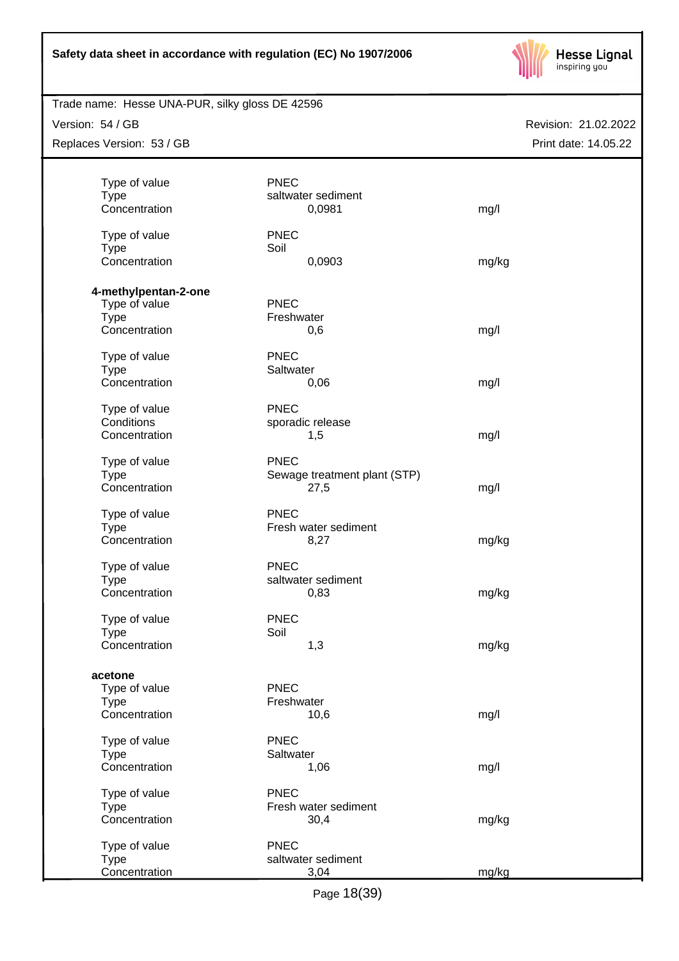

## Trade name: Hesse UNA-PUR, silky gloss DE 42596

Version: 54 / GB

Replaces Version: 53 / GB

| Type of value                | <b>PNEC</b>                  |       |
|------------------------------|------------------------------|-------|
| <b>Type</b>                  | saltwater sediment           |       |
| Concentration                | 0,0981                       | mg/l  |
| Type of value                | <b>PNEC</b>                  |       |
| <b>Type</b>                  | Soil                         |       |
| Concentration                | 0,0903                       | mg/kg |
|                              |                              |       |
| 4-methylpentan-2-one         |                              |       |
| Type of value                | PNEC                         |       |
| <b>Type</b>                  | Freshwater                   |       |
| Concentration                | 0,6                          | mg/l  |
|                              | <b>PNEC</b>                  |       |
| Type of value<br><b>Type</b> | Saltwater                    |       |
| Concentration                | 0,06                         | mg/l  |
|                              |                              |       |
| Type of value                | <b>PNEC</b>                  |       |
| Conditions                   | sporadic release             |       |
| Concentration                | 1,5                          | mg/l  |
|                              |                              |       |
| Type of value                | <b>PNEC</b>                  |       |
| <b>Type</b><br>Concentration | Sewage treatment plant (STP) |       |
|                              | 27,5                         | mg/l  |
| Type of value                | <b>PNEC</b>                  |       |
| <b>Type</b>                  | Fresh water sediment         |       |
| Concentration                | 8,27                         | mg/kg |
|                              | <b>PNEC</b>                  |       |
| Type of value<br><b>Type</b> | saltwater sediment           |       |
| Concentration                | 0,83                         | mg/kg |
|                              |                              |       |
| Type of value                | <b>PNEC</b>                  |       |
| <b>Type</b>                  | Soil                         |       |
| Concentration                | 1,3                          | mg/kg |
|                              |                              |       |
| acetone                      |                              |       |
| Type of value                | <b>PNEC</b>                  |       |
| <b>Type</b>                  | Freshwater                   |       |
| Concentration                | 10,6                         | mg/l  |
| Type of value                | <b>PNEC</b>                  |       |
| <b>Type</b>                  | Saltwater                    |       |
| Concentration                | 1,06                         | mg/l  |
|                              |                              |       |
| Type of value                | <b>PNEC</b>                  |       |
| <b>Type</b>                  | Fresh water sediment         |       |
| Concentration                | 30,4                         | mg/kg |
| Type of value                | <b>PNEC</b>                  |       |
| <b>Type</b>                  | saltwater sediment           |       |
| Concentration                | 3,04                         | mg/kg |
|                              |                              |       |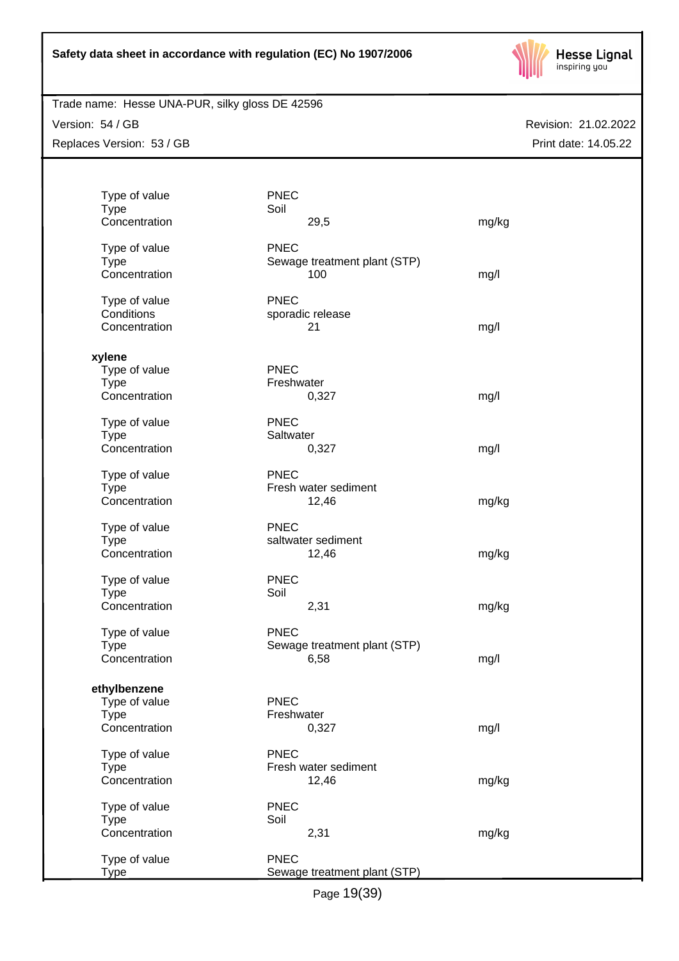

Trade name: Hesse UNA-PUR, silky gloss DE 42596

Version: 54 / GB

Revision: 21.02.2022 Print date: 14.05.22

| Replaces Version: 53 / GB |
|---------------------------|
|---------------------------|

| Type of value                | <b>PNEC</b>                                 |       |
|------------------------------|---------------------------------------------|-------|
| <b>Type</b><br>Concentration | Soil<br>29,5                                | mg/kg |
|                              |                                             |       |
| Type of value<br><b>Type</b> | <b>PNEC</b><br>Sewage treatment plant (STP) |       |
| Concentration                | 100                                         | mg/l  |
| Type of value                | <b>PNEC</b>                                 |       |
| Conditions                   | sporadic release                            |       |
| Concentration                | 21                                          | mg/l  |
| xylene                       |                                             |       |
| Type of value                | <b>PNEC</b>                                 |       |
| <b>Type</b><br>Concentration | Freshwater<br>0,327                         | mg/l  |
|                              |                                             |       |
| Type of value<br><b>Type</b> | <b>PNEC</b><br>Saltwater                    |       |
| Concentration                | 0,327                                       | mg/l  |
|                              |                                             |       |
| Type of value<br><b>Type</b> | <b>PNEC</b><br>Fresh water sediment         |       |
| Concentration                | 12,46                                       | mg/kg |
| Type of value                | <b>PNEC</b>                                 |       |
| <b>Type</b>                  | saltwater sediment                          |       |
| Concentration                | 12,46                                       | mg/kg |
| Type of value                | <b>PNEC</b>                                 |       |
| <b>Type</b>                  | Soil                                        |       |
| Concentration                | 2,31                                        | mg/kg |
| Type of value                | <b>PNEC</b>                                 |       |
| <b>Type</b><br>Concentration | Sewage treatment plant (STP)<br>6,58        | mg/l  |
|                              |                                             |       |
| ethylbenzene                 |                                             |       |
| Type of value<br>Type        | <b>PNEC</b><br>Freshwater                   |       |
| Concentration                | 0,327                                       | mg/l  |
| Type of value                | <b>PNEC</b>                                 |       |
| <b>Type</b>                  | Fresh water sediment                        |       |
| Concentration                | 12,46                                       | mg/kg |
| Type of value                | <b>PNEC</b>                                 |       |
| <b>Type</b><br>Concentration | Soil                                        |       |
|                              | 2,31                                        | mg/kg |
| Type of value                | <b>PNEC</b>                                 |       |
| <b>Type</b>                  | Sewage treatment plant (STP)                |       |

Page 19(39)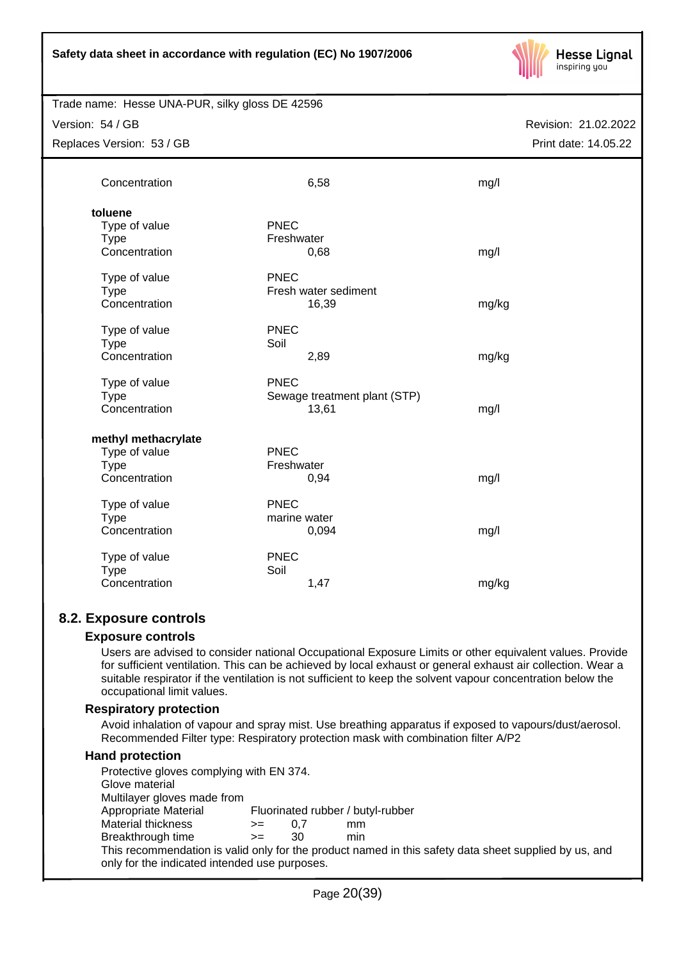

Trade name: Hesse UNA-PUR, silky gloss DE 42596

Version: 54 / GB

Replaces Version: 53 / GB

Revision: 21.02.2022 Print date: 14.05.22

| Concentration       | 6,58                         | mg/l  |
|---------------------|------------------------------|-------|
| toluene             |                              |       |
| Type of value       | <b>PNEC</b>                  |       |
| <b>Type</b>         | Freshwater                   |       |
| Concentration       | 0,68                         | mg/l  |
| Type of value       | <b>PNEC</b>                  |       |
| <b>Type</b>         | Fresh water sediment         |       |
| Concentration       | 16,39                        | mg/kg |
| Type of value       | <b>PNEC</b>                  |       |
| <b>Type</b>         | Soil                         |       |
| Concentration       | 2,89                         | mg/kg |
| Type of value       | <b>PNEC</b>                  |       |
| <b>Type</b>         | Sewage treatment plant (STP) |       |
| Concentration       | 13,61                        | mg/l  |
| methyl methacrylate |                              |       |
| Type of value       | <b>PNEC</b>                  |       |
| <b>Type</b>         | Freshwater                   |       |
| Concentration       | 0,94                         | mg/l  |
| Type of value       | <b>PNEC</b>                  |       |
| <b>Type</b>         | marine water                 |       |
| Concentration       | 0,094                        | mg/l  |
| Type of value       | <b>PNEC</b>                  |       |
| <b>Type</b>         | Soil                         |       |
| Concentration       | 1,47                         | mg/kg |

# **8.2. Exposure controls**

## **Exposure controls**

Users are advised to consider national Occupational Exposure Limits or other equivalent values. Provide for sufficient ventilation. This can be achieved by local exhaust or general exhaust air collection. Wear a suitable respirator if the ventilation is not sufficient to keep the solvent vapour concentration below the occupational limit values.

## **Respiratory protection**

Avoid inhalation of vapour and spray mist. Use breathing apparatus if exposed to vapours/dust/aerosol. Recommended Filter type: Respiratory protection mask with combination filter A/P2

## **Hand protection**

| Protective gloves complying with EN 374.<br>Glove material<br>Multilayer gloves made from<br>Fluorinated rubber / butyl-rubber<br>Appropriate Material<br>Material thickness<br>0.7<br>mm<br>$>=$<br>Breakthrough time<br>30<br>min<br>>=<br>This recommendation is valid only for the product named in this safety data sheet supplied by us, and<br>only for the indicated intended use purposes. |
|-----------------------------------------------------------------------------------------------------------------------------------------------------------------------------------------------------------------------------------------------------------------------------------------------------------------------------------------------------------------------------------------------------|
|                                                                                                                                                                                                                                                                                                                                                                                                     |
|                                                                                                                                                                                                                                                                                                                                                                                                     |
|                                                                                                                                                                                                                                                                                                                                                                                                     |
|                                                                                                                                                                                                                                                                                                                                                                                                     |
|                                                                                                                                                                                                                                                                                                                                                                                                     |
|                                                                                                                                                                                                                                                                                                                                                                                                     |
|                                                                                                                                                                                                                                                                                                                                                                                                     |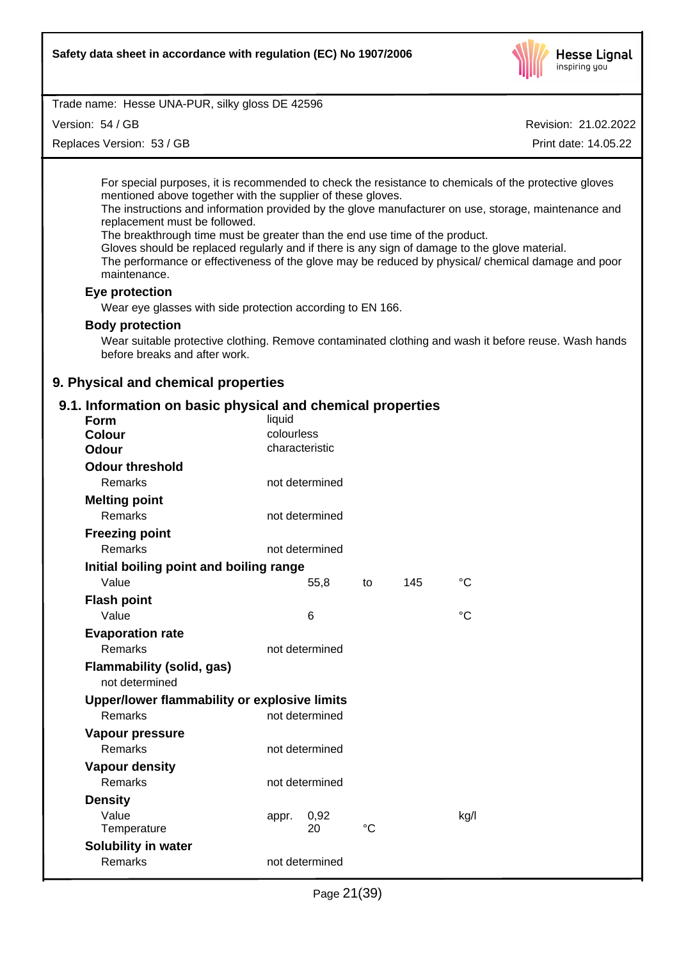

Version: 54 / GB

Replaces Version: 53 / GB

Revision: 21.02.2022 Print date: 14.05.22

For special purposes, it is recommended to check the resistance to chemicals of the protective gloves mentioned above together with the supplier of these gloves.

The instructions and information provided by the glove manufacturer on use, storage, maintenance and replacement must be followed.

The breakthrough time must be greater than the end use time of the product.

Gloves should be replaced regularly and if there is any sign of damage to the glove material. The performance or effectiveness of the glove may be reduced by physical/chemical damage and poor maintenance.

## **Eye protection**

Wear eye glasses with side protection according to EN 166.

## **Body protection**

Wear suitable protective clothing. Remove contaminated clothing and wash it before reuse. Wash hands before breaks and after work.

# **9. Physical and chemical properties**

## **9.1. Information on basic physical and chemical properties**

| Form                                         | liquid     |                |    |     |             |  |
|----------------------------------------------|------------|----------------|----|-----|-------------|--|
| <b>Colour</b>                                | colourless |                |    |     |             |  |
| <b>Odour</b>                                 |            | characteristic |    |     |             |  |
| <b>Odour threshold</b>                       |            |                |    |     |             |  |
| Remarks                                      |            | not determined |    |     |             |  |
| <b>Melting point</b>                         |            |                |    |     |             |  |
| <b>Remarks</b>                               |            | not determined |    |     |             |  |
| <b>Freezing point</b>                        |            |                |    |     |             |  |
| Remarks                                      |            | not determined |    |     |             |  |
| Initial boiling point and boiling range      |            |                |    |     |             |  |
| Value                                        |            | 55,8           | to | 145 | $^{\circ}C$ |  |
| <b>Flash point</b>                           |            |                |    |     |             |  |
| Value                                        |            | 6              |    |     | $^{\circ}C$ |  |
| <b>Evaporation rate</b>                      |            |                |    |     |             |  |
| Remarks                                      |            | not determined |    |     |             |  |
| <b>Flammability (solid, gas)</b>             |            |                |    |     |             |  |
| not determined                               |            |                |    |     |             |  |
| Upper/lower flammability or explosive limits |            |                |    |     |             |  |
| Remarks                                      |            | not determined |    |     |             |  |
| Vapour pressure                              |            |                |    |     |             |  |
| Remarks                                      |            | not determined |    |     |             |  |
| <b>Vapour density</b>                        |            |                |    |     |             |  |
| Remarks                                      |            | not determined |    |     |             |  |
| <b>Density</b>                               |            |                |    |     |             |  |
| Value                                        | appr.      | 0,92           |    |     | kg/l        |  |
| Temperature                                  |            | 20             | °C |     |             |  |
| Solubility in water                          |            |                |    |     |             |  |
| Remarks                                      |            | not determined |    |     |             |  |
|                                              |            |                |    |     |             |  |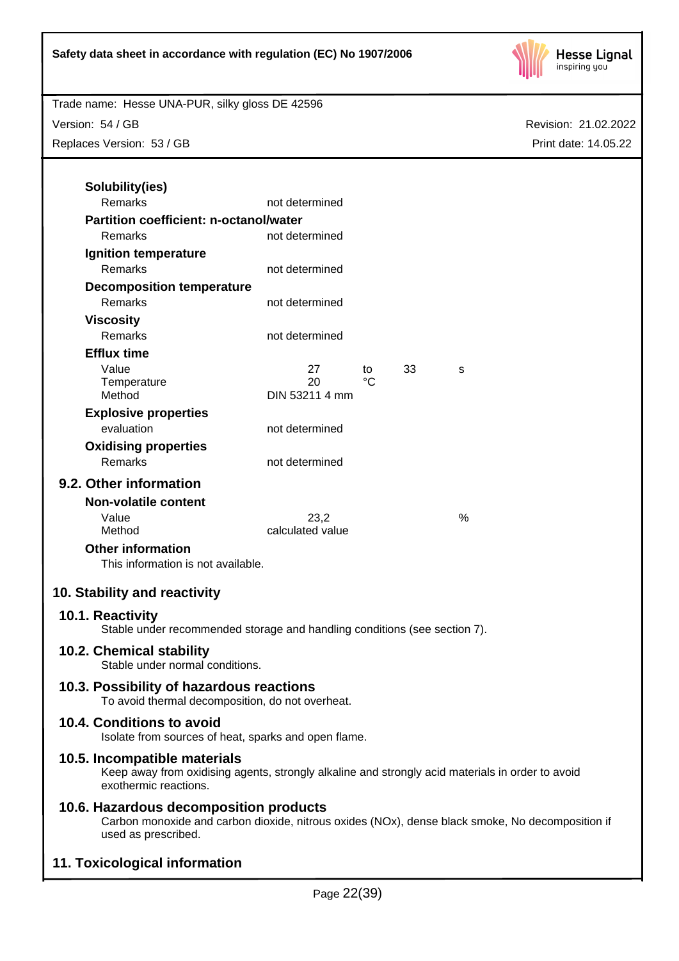

Version: 54 / GB

Replaces Version: 53 / GB

| Solubility(ies)                                                                                                                                           |                          |    |    |                                                                                                  |  |
|-----------------------------------------------------------------------------------------------------------------------------------------------------------|--------------------------|----|----|--------------------------------------------------------------------------------------------------|--|
| Remarks                                                                                                                                                   | not determined           |    |    |                                                                                                  |  |
| <b>Partition coefficient: n-octanol/water</b>                                                                                                             |                          |    |    |                                                                                                  |  |
| Remarks                                                                                                                                                   | not determined           |    |    |                                                                                                  |  |
| Ignition temperature                                                                                                                                      |                          |    |    |                                                                                                  |  |
| Remarks                                                                                                                                                   | not determined           |    |    |                                                                                                  |  |
| <b>Decomposition temperature</b>                                                                                                                          |                          |    |    |                                                                                                  |  |
| Remarks                                                                                                                                                   | not determined           |    |    |                                                                                                  |  |
| <b>Viscosity</b>                                                                                                                                          |                          |    |    |                                                                                                  |  |
| Remarks                                                                                                                                                   | not determined           |    |    |                                                                                                  |  |
| <b>Efflux time</b>                                                                                                                                        |                          |    |    |                                                                                                  |  |
| Value                                                                                                                                                     | 27                       | to | 33 | s                                                                                                |  |
| Temperature                                                                                                                                               | 20                       | °C |    |                                                                                                  |  |
| Method                                                                                                                                                    | DIN 53211 4 mm           |    |    |                                                                                                  |  |
| <b>Explosive properties</b>                                                                                                                               |                          |    |    |                                                                                                  |  |
| evaluation                                                                                                                                                | not determined           |    |    |                                                                                                  |  |
| <b>Oxidising properties</b>                                                                                                                               |                          |    |    |                                                                                                  |  |
| <b>Remarks</b>                                                                                                                                            | not determined           |    |    |                                                                                                  |  |
| 9.2. Other information                                                                                                                                    |                          |    |    |                                                                                                  |  |
| <b>Non-volatile content</b>                                                                                                                               |                          |    |    |                                                                                                  |  |
| Value<br>Method                                                                                                                                           | 23,2<br>calculated value |    |    | %                                                                                                |  |
| <b>Other information</b><br>This information is not available.                                                                                            |                          |    |    |                                                                                                  |  |
| 10. Stability and reactivity                                                                                                                              |                          |    |    |                                                                                                  |  |
| 10.1. Reactivity<br>Stable under recommended storage and handling conditions (see section 7).                                                             |                          |    |    |                                                                                                  |  |
| 10.2. Chemical stability<br>Stable under normal conditions.                                                                                               |                          |    |    |                                                                                                  |  |
| 10.3. Possibility of hazardous reactions<br>To avoid thermal decomposition, do not overheat.                                                              |                          |    |    |                                                                                                  |  |
| 10.4. Conditions to avoid<br>Isolate from sources of heat, sparks and open flame.                                                                         |                          |    |    |                                                                                                  |  |
| 10.5. Incompatible materials<br>Keep away from oxidising agents, strongly alkaline and strongly acid materials in order to avoid<br>exothermic reactions. |                          |    |    |                                                                                                  |  |
| 10.6. Hazardous decomposition products<br>used as prescribed.                                                                                             |                          |    |    | Carbon monoxide and carbon dioxide, nitrous oxides (NOx), dense black smoke, No decomposition if |  |
|                                                                                                                                                           |                          |    |    |                                                                                                  |  |
| 11 Tovicological information                                                                                                                              |                          |    |    |                                                                                                  |  |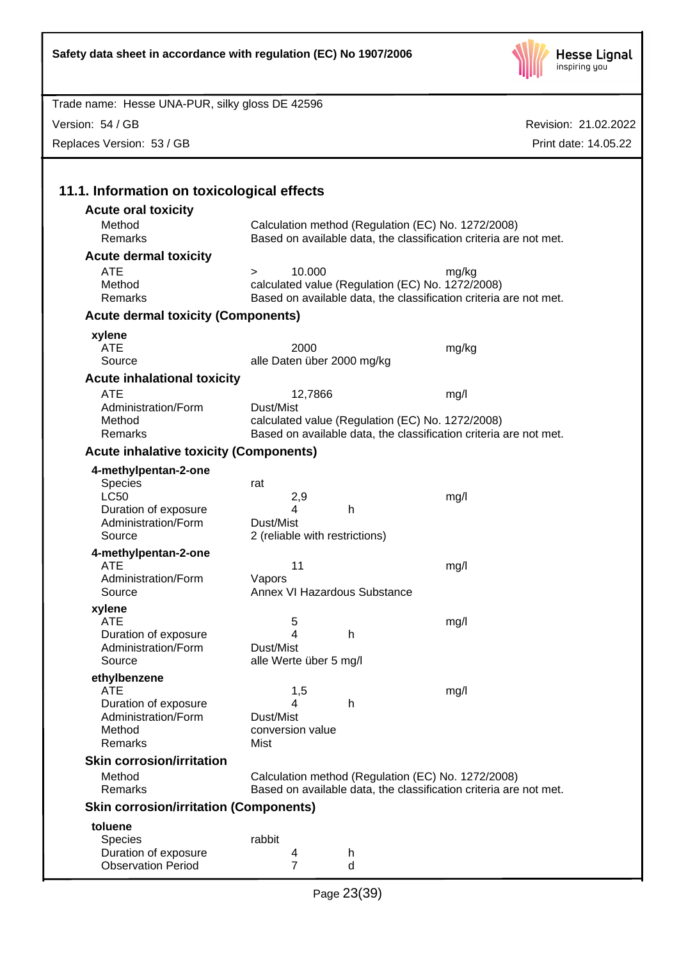

Revision: 21.02.2022 Trade name: Hesse UNA-PUR, silky gloss DE 42596 Print date: 14.05.22 Version: 54 / GB Replaces Version: 53 / GB **11.1. Information on toxicological effects Acute oral toxicity** Method Calculation method (Regulation (EC) No. 1272/2008) Remarks Based on available data, the classification criteria are not met. **Acute dermal toxicity** ATE > 10.000 mg/kg Method calculated value (Regulation (EC) No. 1272/2008) Remarks Based on available data, the classification criteria are not met. **Acute dermal toxicity (Components) xylene** ATE 2000 mg/kg Source alle Daten über 2000 mg/kg **Acute inhalational toxicity** ATE 12,7866 mg/l Administration/Form Dust/Mist Method calculated value (Regulation (EC) No. 1272/2008) Remarks Based on available data, the classification criteria are not met. **Acute inhalative toxicity (Components) 4-methylpentan-2-one** Species rat LC50 2,9 mg/l Duration of exposure 4 h Administration/Form Dust/Mist Source 2 (reliable with restrictions) **4-methylpentan-2-one** ATE 11 mg/l Administration/Form Vapors Source **Annex VI Hazardous Substance xylene** ATE 5 mg/l Duration of exposure 4 h Administration/Form Dust/Mist Source alle Werte über 5 mg/l **ethylbenzene** ATE and the contract of the 1,5 mg/l Duration of exposure 4 h<br>
Administration/Form Dust/Mist Administration/Form Method conversion value Remarks Mist **Skin corrosion/irritation** Method Calculation method (Regulation (EC) No. 1272/2008) Remarks Based on available data, the classification criteria are not met. **Skin corrosion/irritation (Components) toluene** Species rabbit Duration of exposure 4 h Observation Period 7 d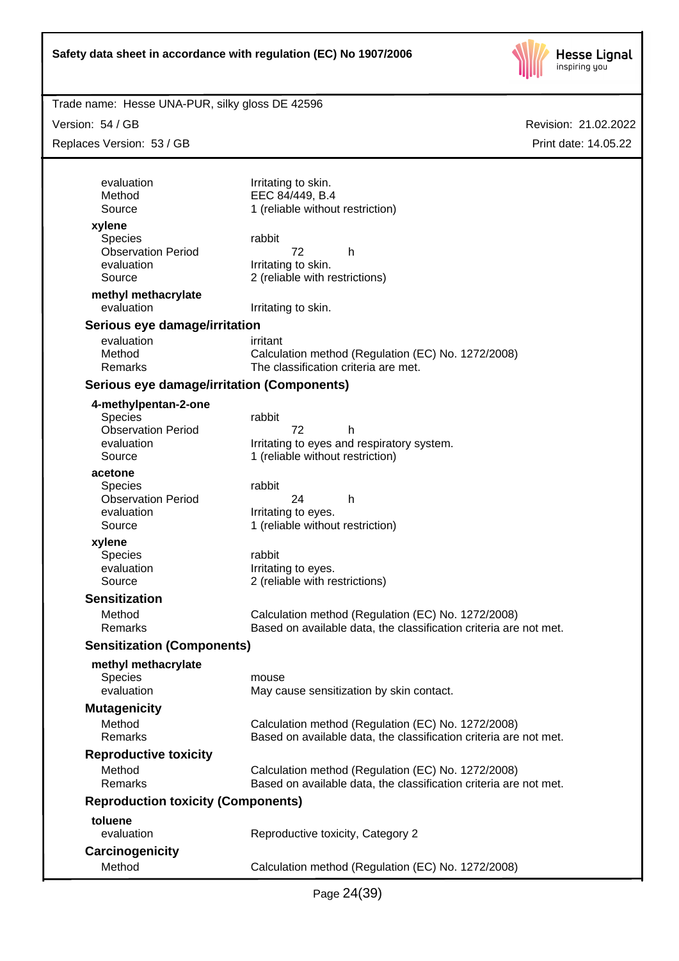

Trade name: Hesse UNA-PUR, silky gloss DE 42596

Version: 54 / GB

Replaces Version: 53 / GB

| evaluation<br>Method                       | Irritating to skin.<br>EEC 84/449, B.4                            |
|--------------------------------------------|-------------------------------------------------------------------|
| Source                                     | 1 (reliable without restriction)                                  |
|                                            |                                                                   |
| xylene<br><b>Species</b>                   | rabbit                                                            |
| <b>Observation Period</b>                  | h<br>72                                                           |
| evaluation                                 | Irritating to skin.                                               |
| Source                                     | 2 (reliable with restrictions)                                    |
| methyl methacrylate                        |                                                                   |
| evaluation                                 | Irritating to skin.                                               |
| Serious eye damage/irritation              |                                                                   |
| evaluation                                 | irritant                                                          |
| Method                                     | Calculation method (Regulation (EC) No. 1272/2008)                |
| Remarks                                    | The classification criteria are met.                              |
| Serious eye damage/irritation (Components) |                                                                   |
| 4-methylpentan-2-one                       |                                                                   |
| <b>Species</b>                             | rabbit                                                            |
| <b>Observation Period</b><br>evaluation    | 72<br>h<br>Irritating to eyes and respiratory system.             |
| Source                                     | 1 (reliable without restriction)                                  |
|                                            |                                                                   |
| acetone<br><b>Species</b>                  | rabbit                                                            |
| <b>Observation Period</b>                  | 24<br>h                                                           |
| evaluation                                 | Irritating to eyes.                                               |
| Source                                     | 1 (reliable without restriction)                                  |
| xylene                                     |                                                                   |
| <b>Species</b>                             | rabbit                                                            |
| evaluation                                 | Irritating to eyes.                                               |
| Source                                     | 2 (reliable with restrictions)                                    |
| <b>Sensitization</b>                       |                                                                   |
| Method                                     | Calculation method (Regulation (EC) No. 1272/2008)                |
| Remarks                                    | Based on available data, the classification criteria are not met. |
| <b>Sensitization (Components)</b>          |                                                                   |
| methyl methacrylate                        |                                                                   |
| Species                                    | mouse                                                             |
| evaluation                                 | May cause sensitization by skin contact.                          |
| <b>Mutagenicity</b>                        |                                                                   |
| Method                                     | Calculation method (Regulation (EC) No. 1272/2008)                |
| Remarks                                    | Based on available data, the classification criteria are not met. |
| <b>Reproductive toxicity</b>               |                                                                   |
| Method                                     | Calculation method (Regulation (EC) No. 1272/2008)                |
| Remarks                                    | Based on available data, the classification criteria are not met. |
| <b>Reproduction toxicity (Components)</b>  |                                                                   |
| toluene                                    |                                                                   |
| evaluation                                 | Reproductive toxicity, Category 2                                 |
| Carcinogenicity                            |                                                                   |
| Method                                     | Calculation method (Regulation (EC) No. 1272/2008)                |
|                                            |                                                                   |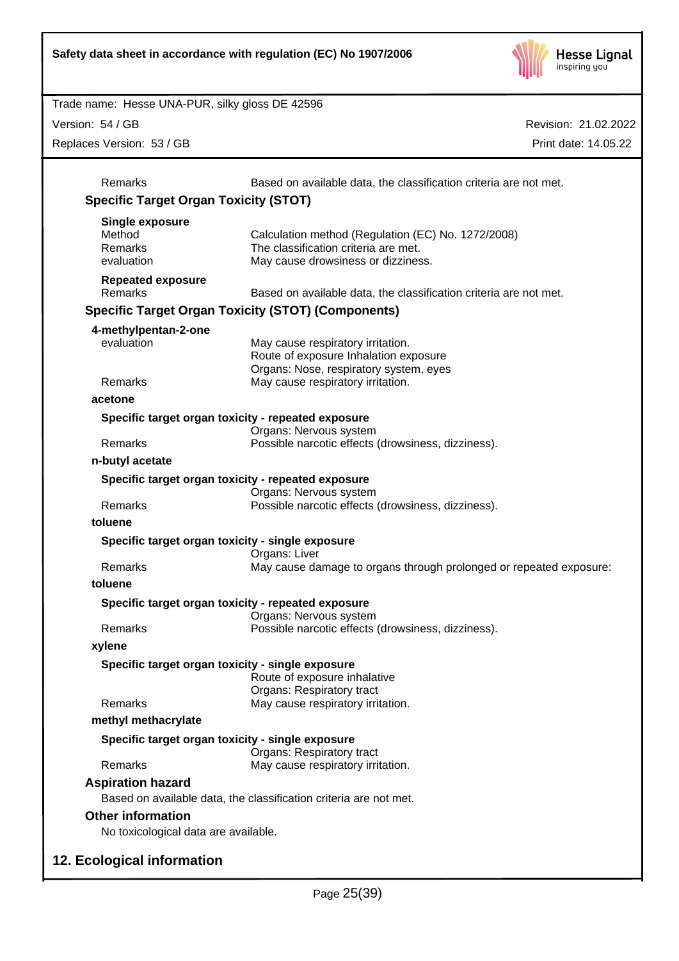

Revision: 21.02.2022

Print date: 14.05.22

Trade name: Hesse UNA-PUR, silky gloss DE 42596

Version: 54 / GB

Replaces Version: 53 / GB

Remarks Based on available data, the classification criteria are not met. **Specific Target Organ Toxicity (STOT) Single exposure** Method Calculation method (Regulation (EC) No. 1272/2008) Remarks The classification criteria are met. evaluation May cause drowsiness or dizziness. **Repeated exposure** Remarks Based on available data, the classification criteria are not met. **Specific Target Organ Toxicity (STOT) (Components) 4-methylpentan-2-one** May cause respiratory irritation. Route of exposure Inhalation exposure Organs: Nose, respiratory system, eyes Remarks May cause respiratory irritation. **acetone Specific target organ toxicity - repeated exposure** Organs: Nervous system Remarks Possible narcotic effects (drowsiness, dizziness). **n-butyl acetate Specific target organ toxicity - repeated exposure** Organs: Nervous system Remarks Possible narcotic effects (drowsiness, dizziness). **toluene Specific target organ toxicity - single exposure** Organs: Liver Remarks May cause damage to organs through prolonged or repeated exposure: **toluene Specific target organ toxicity - repeated exposure** Organs: Nervous system Remarks **Possible narcotic effects (drowsiness, dizziness). xylene Specific target organ toxicity - single exposure** Route of exposure inhalative Organs: Respiratory tract Remarks May cause respiratory irritation. **methyl methacrylate Specific target organ toxicity - single exposure** Organs: Respiratory tract Remarks May cause respiratory irritation. **Aspiration hazard** Based on available data, the classification criteria are not met. **Other information** No toxicological data are available. **12. Ecological information**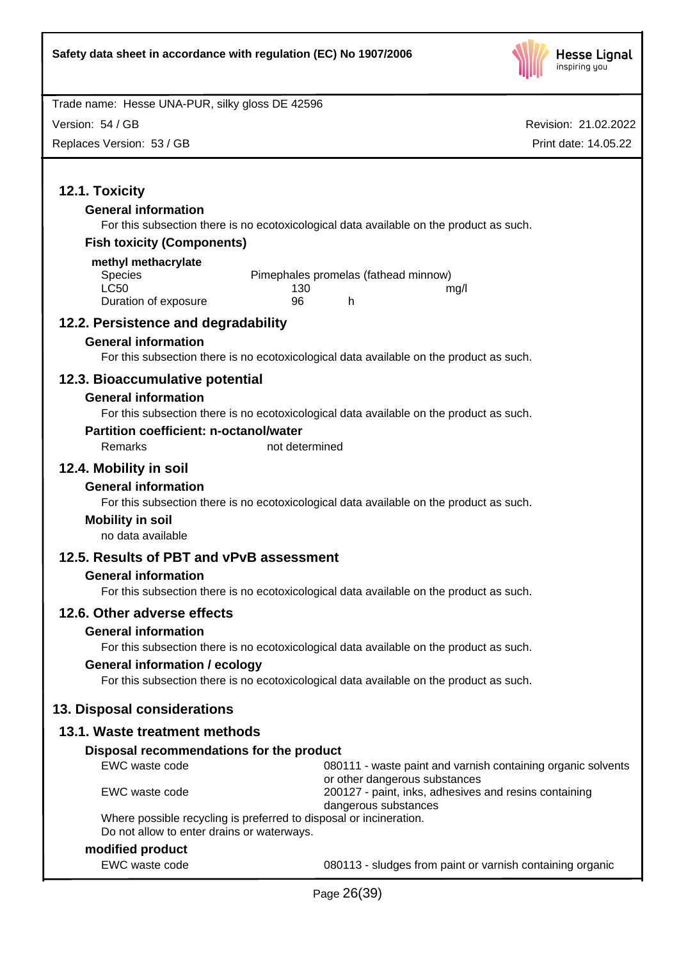

Version: 54 / GB

Replaces Version: 53 / GB

Revision: 21.02.2022 Print date: 14.05.22

# **12.1. Toxicity**

## **General information**

For this subsection there is no ecotoxicological data available on the product as such.

# **Fish toxicity (Components)**

#### **methyl methacrylate**

| Species              | Pimephales promelas (fathead minnow) |      |
|----------------------|--------------------------------------|------|
| LC50                 | 130                                  | ma/l |
| Duration of exposure | 96                                   |      |

# **12.2. Persistence and degradability**

## **General information**

For this subsection there is no ecotoxicological data available on the product as such.

## **12.3. Bioaccumulative potential**

## **General information**

For this subsection there is no ecotoxicological data available on the product as such.

## **Partition coefficient: n-octanol/water**

Remarks not determined

# **12.4. Mobility in soil**

## **General information**

For this subsection there is no ecotoxicological data available on the product as such.

## **Mobility in soil**

no data available

# **12.5. Results of PBT and vPvB assessment**

## **General information**

For this subsection there is no ecotoxicological data available on the product as such.

## **12.6. Other adverse effects**

## **General information**

For this subsection there is no ecotoxicological data available on the product as such.

## **General information / ecology**

For this subsection there is no ecotoxicological data available on the product as such.

# **13. Disposal considerations**

# **13.1. Waste treatment methods**

## **Disposal recommendations for the product**

| EWC waste code |  |
|----------------|--|
|                |  |

080111 - waste paint and varnish containing organic solvents or other dangerous substances EWC waste code 200127 - paint, inks, adhesives and resins containing dangerous substances

Where possible recycling is preferred to disposal or incineration.

Do not allow to enter drains or waterways.

# **modified product**

EWC waste code 080113 - sludges from paint or varnish containing organic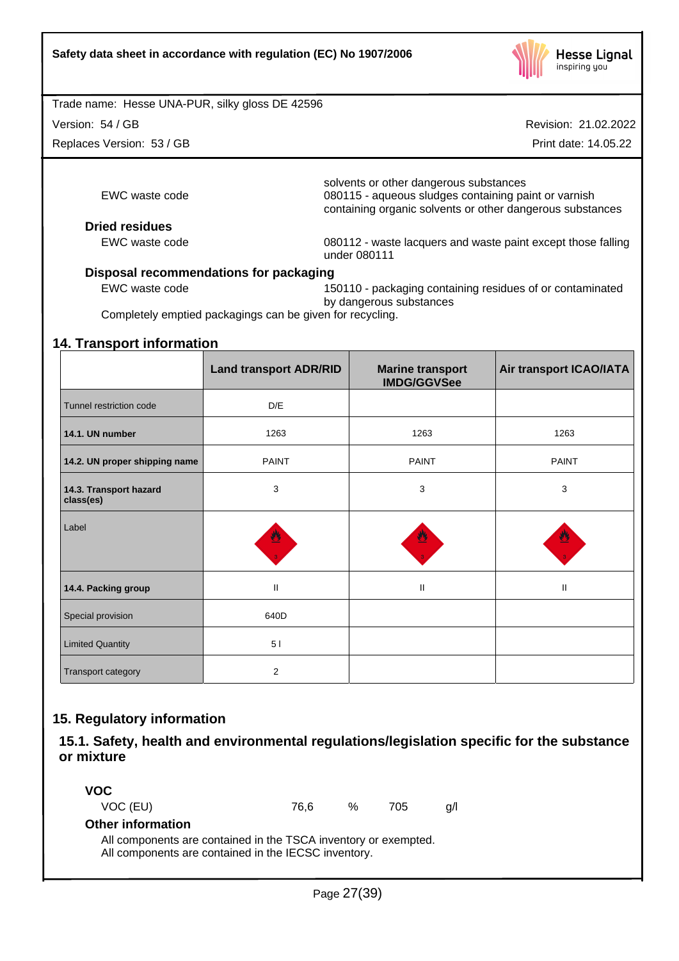

Version: 54 / GB

Replaces Version: 53 / GB

Revision: 21.02.2022

Print date: 14.05.22

|                       | solvents or other dangerous substances                                       |  |
|-----------------------|------------------------------------------------------------------------------|--|
| EWC waste code        | 080115 - aqueous sludges containing paint or varnish                         |  |
|                       | containing organic solvents or other dangerous substances                    |  |
| <b>Dried residues</b> |                                                                              |  |
| EWC waste code        | 080112 - waste lacquers and waste paint except those falling<br>under 080111 |  |

# **Disposal recommendations for packaging**

EWC waste code 150110 - packaging containing residues of or contaminated by dangerous substances

Completely emptied packagings can be given for recycling.

# **14. Transport information**

|                                     | <b>Land transport ADR/RID</b> | <b>Marine transport</b><br><b>IMDG/GGVSee</b> | Air transport ICAO/IATA |
|-------------------------------------|-------------------------------|-----------------------------------------------|-------------------------|
| Tunnel restriction code             | D/E                           |                                               |                         |
| 14.1. UN number                     | 1263                          | 1263                                          | 1263                    |
| 14.2. UN proper shipping name       | <b>PAINT</b>                  | <b>PAINT</b>                                  | <b>PAINT</b>            |
| 14.3. Transport hazard<br>class(es) | 3                             | 3                                             | 3                       |
| Label                               | 2                             |                                               | $\overline{\mathbf{a}}$ |
| 14.4. Packing group                 | $\mathbf{II}$                 | $\mathbf{II}$                                 | Ш                       |
| Special provision                   | 640D                          |                                               |                         |
| <b>Limited Quantity</b>             | 51                            |                                               |                         |
| Transport category                  | $\overline{2}$                |                                               |                         |

# **15. Regulatory information**

**15.1. Safety, health and environmental regulations/legislation specific for the substance or mixture**

| VOC.                                                                                                                    |      |   |     |             |
|-------------------------------------------------------------------------------------------------------------------------|------|---|-----|-------------|
| VOC (EU)                                                                                                                | 76.6 | % | 705 | $\alpha$ /l |
| <b>Other information</b>                                                                                                |      |   |     |             |
| All components are contained in the TSCA inventory or exempted.<br>All components are contained in the IECSC inventory. |      |   |     |             |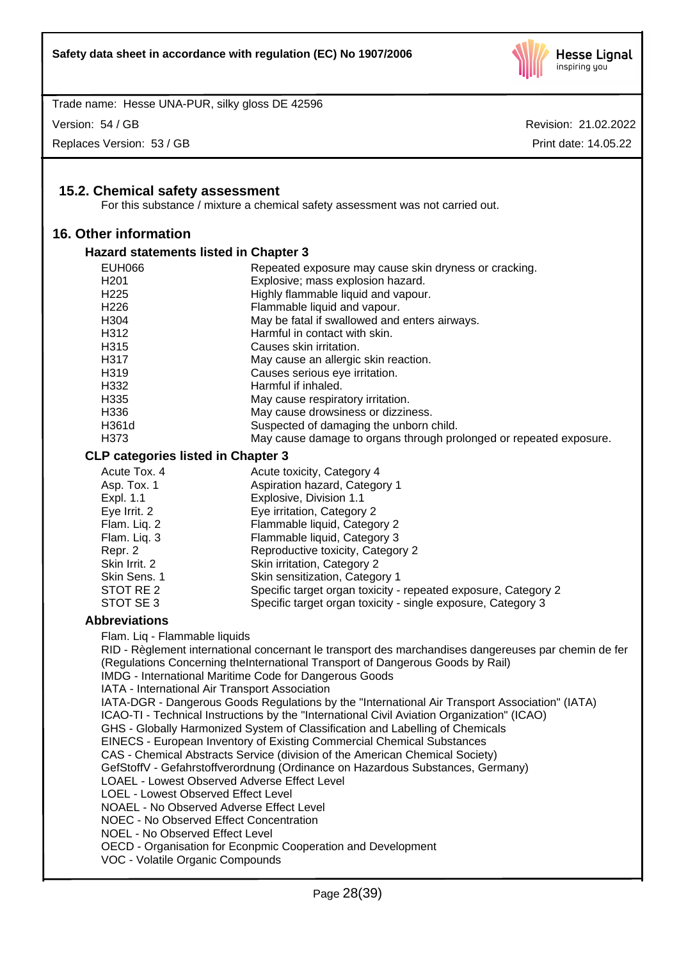

Version: 54 / GB

Replaces Version: 53 / GB

Revision: 21.02.2022 Print date: 14.05.22

# **15.2. Chemical safety assessment**

For this substance / mixture a chemical safety assessment was not carried out.

## **16. Other information**

#### **Hazard statements listed in Chapter 3**

| <b>EUH066</b>                             | Repeated exposure may cause skin dryness or cracking.              |  |
|-------------------------------------------|--------------------------------------------------------------------|--|
| H <sub>201</sub>                          | Explosive; mass explosion hazard.                                  |  |
| H <sub>225</sub>                          | Highly flammable liquid and vapour.                                |  |
| H <sub>226</sub>                          | Flammable liquid and vapour.                                       |  |
| H <sub>304</sub>                          | May be fatal if swallowed and enters airways.                      |  |
| H <sub>312</sub>                          | Harmful in contact with skin.                                      |  |
| H <sub>315</sub>                          | Causes skin irritation.                                            |  |
| H <sub>3</sub> 17                         | May cause an allergic skin reaction.                               |  |
| H <sub>319</sub>                          | Causes serious eye irritation.                                     |  |
| H332                                      | Harmful if inhaled.                                                |  |
| H335                                      | May cause respiratory irritation.                                  |  |
| H336                                      | May cause drowsiness or dizziness.                                 |  |
| H361d                                     | Suspected of damaging the unborn child.                            |  |
| H373                                      | May cause damage to organs through prolonged or repeated exposure. |  |
| <b>CLP categories listed in Chapter 3</b> |                                                                    |  |
|                                           |                                                                    |  |

| Acute Tox, 4  | Acute toxicity, Category 4                                     |
|---------------|----------------------------------------------------------------|
| Asp. Tox. 1   | Aspiration hazard, Category 1                                  |
| Expl. 1.1     | Explosive, Division 1.1                                        |
| Eye Irrit. 2  | Eye irritation, Category 2                                     |
| Flam. Lig. 2  | Flammable liquid, Category 2                                   |
| Flam. Liq. 3  | Flammable liquid, Category 3                                   |
| Repr. 2       | Reproductive toxicity, Category 2                              |
| Skin Irrit. 2 | Skin irritation, Category 2                                    |
| Skin Sens, 1  | Skin sensitization, Category 1                                 |
| STOT RE 2     | Specific target organ toxicity - repeated exposure, Category 2 |
| STOT SE 3     | Specific target organ toxicity - single exposure, Category 3   |

## **Abbreviations**

Flam. Liq - Flammable liquids

RID - Règlement international concernant le transport des marchandises dangereuses par chemin de fer (Regulations Concerning theInternational Transport of Dangerous Goods by Rail) IMDG - International Maritime Code for Dangerous Goods IATA - International Air Transport Association IATA-DGR - Dangerous Goods Regulations by the "International Air Transport Association" (IATA) ICAO-TI - Technical Instructions by the "International Civil Aviation Organization" (ICAO) GHS - Globally Harmonized System of Classification and Labelling of Chemicals EINECS - European Inventory of Existing Commercial Chemical Substances CAS - Chemical Abstracts Service (division of the American Chemical Society) GefStoffV - Gefahrstoffverordnung (Ordinance on Hazardous Substances, Germany) LOAEL - Lowest Observed Adverse Effect Level LOEL - Lowest Observed Effect Level NOAEL - No Observed Adverse Effect Level NOEC - No Observed Effect Concentration NOEL - No Observed Effect Level OECD - Organisation for Econpmic Cooperation and Development VOC - Volatile Organic Compounds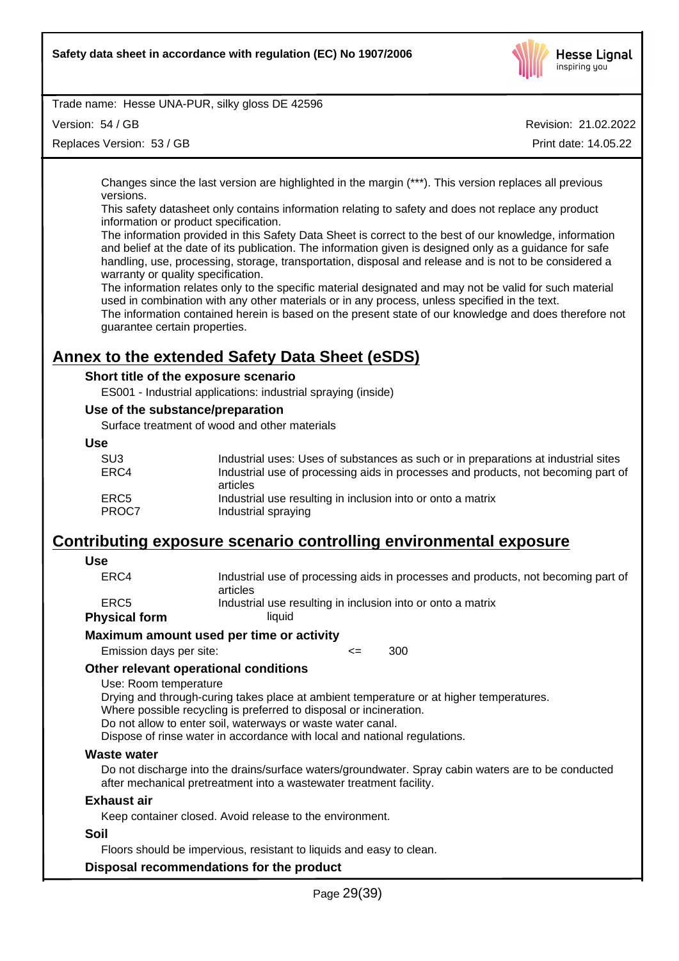

Version: 54 / GB

Replaces Version: 53 / GB

Revision: 21.02.2022 Print date: 14.05.22

Changes since the last version are highlighted in the margin (\*\*\*). This version replaces all previous versions.

This safety datasheet only contains information relating to safety and does not replace any product information or product specification.

The information provided in this Safety Data Sheet is correct to the best of our knowledge, information and belief at the date of its publication. The information given is designed only as a guidance for safe handling, use, processing, storage, transportation, disposal and release and is not to be considered a warranty or quality specification.

The information relates only to the specific material designated and may not be valid for such material used in combination with any other materials or in any process, unless specified in the text.

The information contained herein is based on the present state of our knowledge and does therefore not guarantee certain properties.

# **Annex to the extended Safety Data Sheet (eSDS)**

## **Short title of the exposure scenario**

ES001 - Industrial applications: industrial spraying (inside)

## **Use of the substance/preparation**

Surface treatment of wood and other materials

#### **Use**

| SU3<br>ERC4 | Industrial uses: Uses of substances as such or in preparations at industrial sites<br>Industrial use of processing aids in processes and products, not becoming part of |  |
|-------------|-------------------------------------------------------------------------------------------------------------------------------------------------------------------------|--|
|             | articles                                                                                                                                                                |  |
| ERC5        | Industrial use resulting in inclusion into or onto a matrix                                                                                                             |  |
| PROC7       | Industrial spraying                                                                                                                                                     |  |

# **Contributing exposure scenario controlling environmental exposure**

# **Use**

ERC4 Industrial use of processing aids in processes and products, not becoming part of articles ERC5 Industrial use resulting in inclusion into or onto a matrix

**Physical form** liquid

## **Maximum amount used per time or activity**

Emission days per site: <= 300

## **Other relevant operational conditions**

Use: Room temperature

Drying and through-curing takes place at ambient temperature or at higher temperatures.

Where possible recycling is preferred to disposal or incineration.

Do not allow to enter soil, waterways or waste water canal.

Dispose of rinse water in accordance with local and national regulations.

## **Waste water**

Do not discharge into the drains/surface waters/groundwater. Spray cabin waters are to be conducted after mechanical pretreatment into a wastewater treatment facility.

## **Exhaust air**

Keep container closed. Avoid release to the environment.

## **Soil**

Floors should be impervious, resistant to liquids and easy to clean.

## **Disposal recommendations for the product**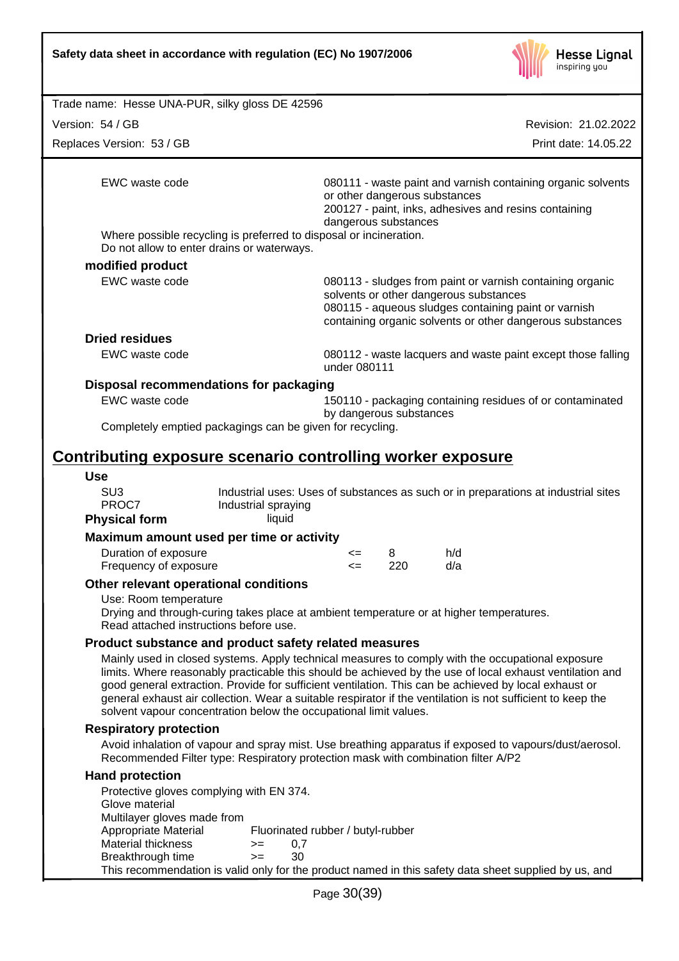

Version: 54 / GB

Replaces Version: 53 / GB

Revision: 21.02.2022 Print date: 14.05.22

EWC waste code 080111 - waste paint and varnish containing organic solvents or other dangerous substances 200127 - paint, inks, adhesives and resins containing dangerous substances Where possible recycling is preferred to disposal or incineration. Do not allow to enter drains or waterways. **modified product** EWC waste code 080113 - sludges from paint or varnish containing organic solvents or other dangerous substances 080115 - aqueous sludges containing paint or varnish containing organic solvents or other dangerous substances **Dried residues** EWC waste code 080112 - waste lacquers and waste paint except those falling under 080111 **Disposal recommendations for packaging** EWC waste code 150110 - packaging containing residues of or contaminated

by dangerous substances Completely emptied packagings can be given for recycling.

# **Contributing exposure scenario controlling worker exposure**

**Use**

SU3 Industrial uses: Uses of substances as such or in preparations at industrial sites<br>PROC7 Industrial spraving Industrial spraying **Physical form** liquid

# **Maximum amount used per time or activity**

| $\lambda$ iliulii allioulit uscu politiilio oli aotivity |            |     |
|----------------------------------------------------------|------------|-----|
| Duration of exposure                                     | $\leq$ 8   | h/d |
| Frequency of exposure                                    | $\leq$ 220 | d/a |

## **Other relevant operational conditions**

Use: Room temperature

Drying and through-curing takes place at ambient temperature or at higher temperatures. Read attached instructions before use.

## **Product substance and product safety related measures**

Mainly used in closed systems. Apply technical measures to comply with the occupational exposure limits. Where reasonably practicable this should be achieved by the use of local exhaust ventilation and good general extraction. Provide for sufficient ventilation. This can be achieved by local exhaust or general exhaust air collection. Wear a suitable respirator ifthe ventilation is not sufficient to keep the solvent vapour concentration below the occupational limit values.

## **Respiratory protection**

Avoid inhalation of vapour and spray mist. Use breathing apparatus if exposed to vapours/dust/aerosol. Recommended Filter type: Respiratory protection mask with combination filter A/P2

## **Hand protection**

Protective gloves complying with EN 374. Glove material Multilayer gloves made from Appropriate Material Fluorinated rubber / butyl-rubber Material thickness  $\rightarrow$  = 0,7 Breakthrough time >= 30 This recommendation is valid only for the product named in this safety data sheet supplied by us, and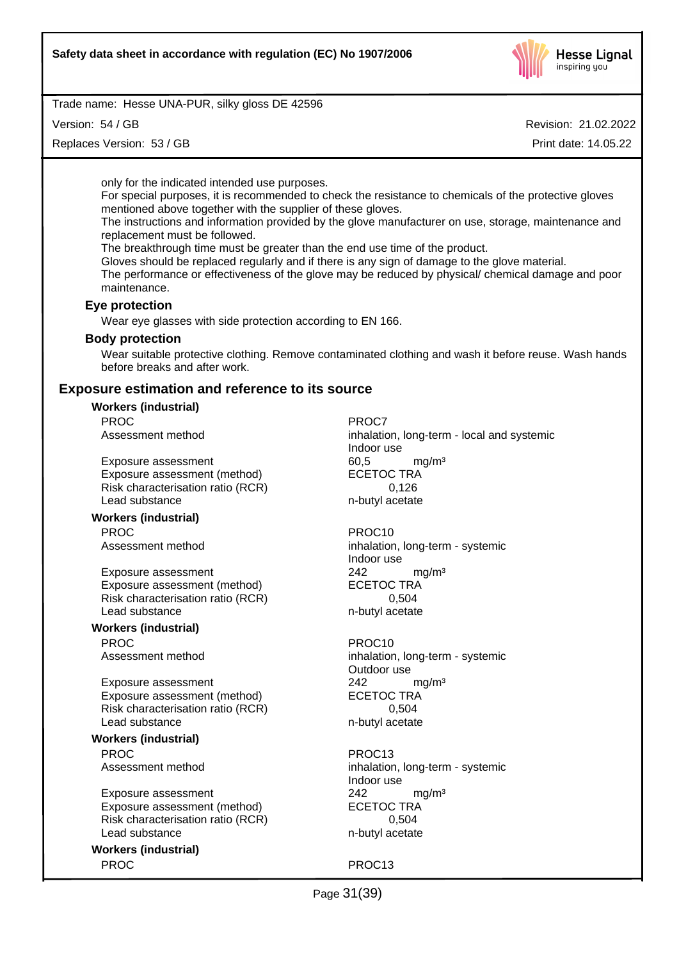

Version: 54 / GB

Replaces Version: 53 / GB

Revision: 21.02.2022

Print date: 14.05.22

only for the indicated intended use purposes.

For special purposes, it is recommended to check the resistance to chemicals of the protective gloves mentioned above together with the supplier of these gloves.

The instructions and information provided by the glove manufacturer on use, storage, maintenance and replacement must be followed.

The breakthrough time must be greater than the end use time of the product.

Gloves should be replaced regularly and if there is any sign of damage to the glove material.

The performance or effectiveness of the glove may be reduced by physical/chemical damage and poor maintenance.

## **Eye protection**

Wear eye glasses with side protection according to EN 166.

## **Body protection**

Wear suitable protective clothing. Remove contaminated clothing and wash it before reuse. Wash hands before breaks and after work.

## **Exposure estimation and reference to its source**

**Workers (industrial)**

Exposure assessment 60.5 mg/m<sup>3</sup> Exposure assessment (method) ECETOC TRA Risk characterisation ratio (RCR) 0,126 Lead substance n-butyl acetate

**Workers (industrial)** PROC PROCTER PROCTER PROCTER PROCTER PROCTER PROCTER PROCTER PROCTER PROCTER PROCTER PROCTER PROCTER PROCTER P

Exposure assessment <br>
Exposure assessment (method) ECETOC TRA Exposure assessment (method) Risk characterisation ratio (RCR) 0,504 Lead substance n-butyl acetate

## **Workers (industrial)** PROC PROCTER PROCTER PROCTER PROCTER PROCTER PROCTER PROCTER PROCTER PROCTER PROCTER PROCTER PROCTER PROCTER P

Exposure assessment <br>
Exposure assessment (method) 
<br>
ECETOC TRA Exposure assessment (method) Risk characterisation ratio (RCR) 0,504 Lead substance n-butyl acetate

# **Workers (industrial)**

PROC PROC13

Exposure assessment <br>
Exposure assessment (method) 
<br>
ECETOC TRA Exposure assessment (method) Risk characterisation ratio (RCR) 0,504 Lead substance n-butyl acetate

**Workers (industrial)** PROC PROC13

PROC PROCT PROCT Assessment method inhalation, long-term - local and systemic Indoor use

Assessment method inhalation, long-term - systemic Indoor use

Assessment method inhalation, long-term - systemic Outdoor use

Assessment method inhalation, long-term - systemic Indoor use mg/m<sup>3</sup>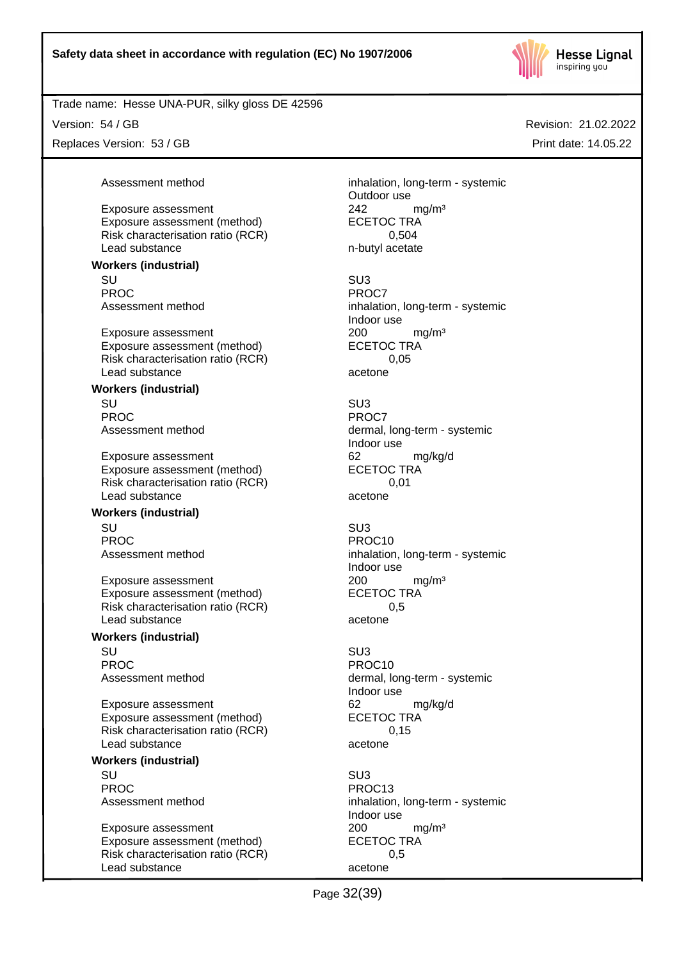

Version: 54 / GB

Replaces Version: 53 / GB

Assessment method inhalation, long-term - systemic Outdoor use Exposure assessment <br>
Exposure assessment (method) ECETOC TRA<br>
ECETOC TRA

SU SU3 PROC PROCT PROCT Assessment method inhalation, long-term - systemic Indoor use

SU SU3 PROC PROCT PROCT Assessment method dermal, long-term - systemic Indoor use

SU SU3 Assessment method inhalation, long-term - systemic Indoor use

SU SU3 Assessment method dermal, long-term - systemic Indoor use

SU SU3 PROC PROC13 Assessment method inhalation, long-term - systemic Indoor use

Revision: 21.02.2022 Print date: 14.05.22

Risk characterisation ratio (RCR) 6,504 Lead substance n-butyl acetate **Workers (industrial)**

Exposure assessment (method)

Exposure assessment <br>
Exposure assessment (method) 
<br>
ECETOC TRA Exposure assessment (method) Risk characterisation ratio (RCR) 0,05 Lead substance acetone

**Workers (industrial)**

Exposure assessment 62 mg/kg/d Exposure assessment (method) ECETOC TRA Risk characterisation ratio (RCR) 0,01 Lead substance acetone

**Workers (industrial)**

PROC PROCTER PROCTER PROCTER PROCTER PROCTER PROCTER PROCTER PROCTER PROCTER PROCTER PROCTER PROCTER PROCTER P

Exposure assessment <br>
Exposure assessment (method) 
<br>
ECETOC TRA Exposure assessment (method) Risk characterisation ratio (RCR) 0,5 Lead substance acetone

## **Workers (industrial)**

PROC PROC10

Exposure assessment and the manufacture of the exposure assessment (method) and the ECETOC TRA controller assessment (method) and the ECETOC TRA Exposure assessment (method) Risk characterisation ratio (RCR) 0,15 Lead substance acetone

## **Workers (industrial)**

Exposure assessment 200 mg/m<sup>3</sup> Exposure assessment (method) ECETOC TRA Risk characterisation ratio (RCR) 0,5 Lead substance acetone

Page 32(39)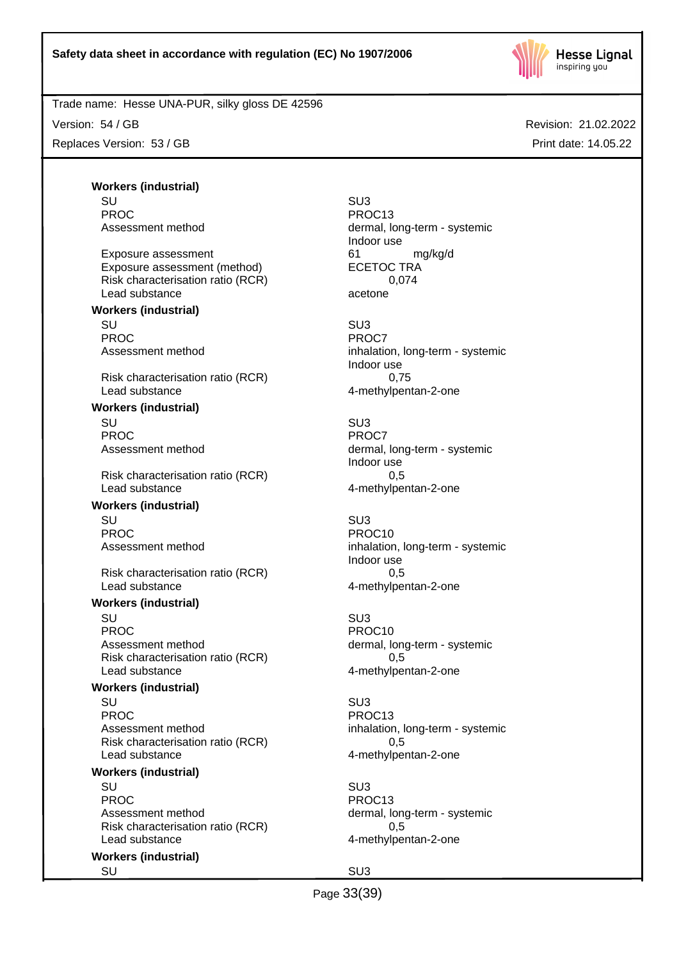

Trade name: Hesse UNA-PUR, silky gloss DE 42596

Version: 54 / GB

Replaces Version: 53 / GB

Revision: 21.02.2022 Print date: 14.05.22

**Workers (industrial)** SU SU3

Exposure assessment details and the manufacture of the manufacture of the manufacture of the manufacture of the<br>
ECETOC TRA Exposure assessment (method) Risk characterisation ratio (RCR) 0,074 Lead substance acetone

**Workers (industrial)**

Risk characterisation ratio (RCR) 0,75 Lead substance 1.1 and 1.1 and 1.1 and 1.1 and 1.1 and 1.1 and 1.1 and 1.1 and 1.1 and 1.1 and 1.1 and 1.1 and 1.1 and 1.1 and 1.1 and 1.1 and 1.1 and 1.1 and 1.1 and 1.1 and 1.1 and 1.1 and 1.1 and 1.1 and 1.1 and 1.1 and

## **Workers (industrial)**

Risk characterisation ratio (RCR) 0,5 Lead substance and the 4-methylpentan-2-one

# **Workers (industrial)**

Risk characterisation ratio (RCR) 0,5 Lead substance and the 4-methylpentan-2-one

#### **Workers (industrial)**

SU SU3 PROC PROC10 Assessment method dermal, long-term - systemic Risk characterisation ratio (RCR) 0,5 Lead substance and the 4-methylpentan-2-one

#### **Workers (industrial)**

SU SU3 PROC PROC13 Assessment method inhalation, long-term - systemic Risk characterisation ratio (RCR) 0,5 Lead substance and the 4-methylpentan-2-one

## **Workers (industrial)**

SU SU3 PROC Assessment method dermal, long-term - systemic Risk characterisation ratio (RCR) 0,5 Lead substance and the 4-methylpentan-2-one

## **Workers (industrial)**

PROC PROC13 Assessment method dermal, long-term - systemic Indoor use

SU SU3 PROC PROCT PROCT Assessment method inhalation, long-term - systemic Indoor use

SU SU3 PROC PROCT PROCT Assessment method dermal, long-term - systemic Indoor use

SU SU3 PROC PROCTER PROCTER PROCTER PROCTER PROCTER PROCTER PROCTER PROCTER PROCTER PROCTER PROCTER PROCTER PROCTER P Assessment method inhalation, long-term - systemic Indoor use

PROC13

SU SU3

Page 33(39)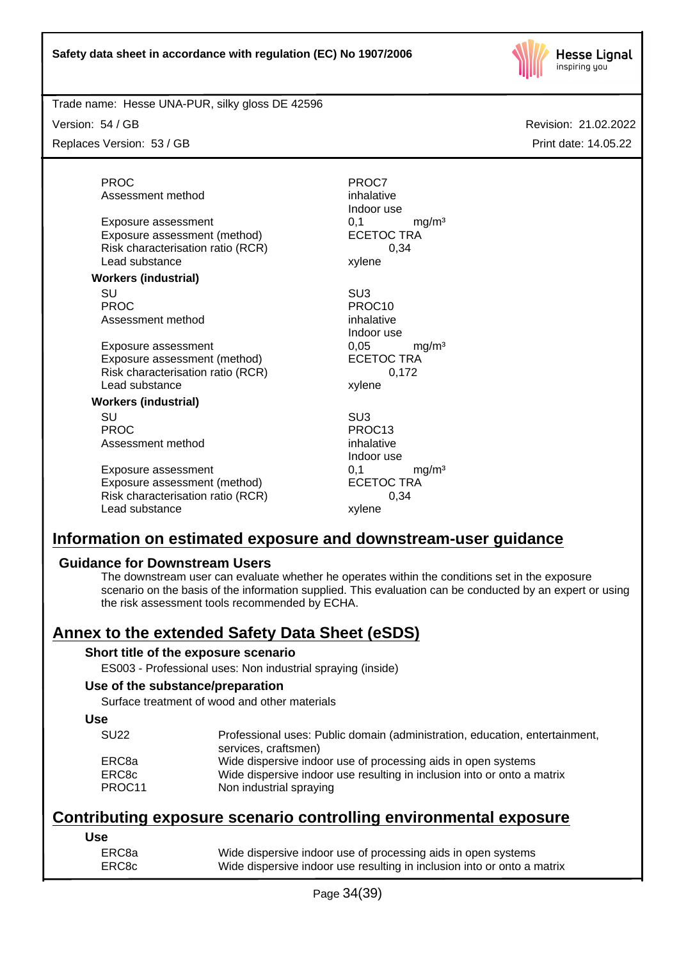

Version: 54 / GB

Replaces Version: 53 / GB

Revision: 21.02.2022 Print date: 14.05.22

PROC PROCT PROCT Assessment method inhalative

Exposure assessment  $0,1$  mg/m<sup>3</sup><br>Exposure assessment (method) ECETOC TRA Exposure assessment (method) Risk characterisation ratio (RCR) 0,34 Lead substance xylene

# **Workers (industrial)**

PROC PROCTER PROCTER PROCTER PROCTER PROCTER PROCTER PROCTER PROCTER PROCTER PROCTER PROCTER PROCTER PROCTER P Assessment method inhalative

Exposure assessment  $0,05$  mg/m<sup>3</sup><br>Exposure assessment (method) ECETOC TRA Exposure assessment (method) Risk characterisation ratio (RCR) 0,172 Lead substance xylene

## **Workers (industrial)**

SU SU3 PROC PROC13 Assessment method inhalative inhalative

Exposure assessment  $0,1$  mg/m<sup>3</sup><br>Exposure assessment (method) ECETOC TRA Exposure assessment (method) Risk characterisation ratio (RCR) 0,34 Lead substance xylene

Indoor use

SU SU3 Indoor use

Indoor use

# **Information on estimated exposure and downstream-user guidance**

## **Guidance for Downstream Users**

The downstream user can evaluate whether he operates within the conditions set in the exposure scenario on the basis of the information supplied. This evaluation can be conducted by an expert or using the risk assessment tools recommended by ECHA.

# **Annex to the extended Safety Data Sheet (eSDS)**

## **Short title of the exposure scenario**

ES003 - Professional uses: Non industrial spraying (inside)

## **Use of the substance/preparation**

Surface treatment of wood and other materials

## **Use**

| <b>SU22</b>        | Professional uses: Public domain (administration, education, entertainment,<br>services, craftsmen) |  |
|--------------------|-----------------------------------------------------------------------------------------------------|--|
| ERC <sub>8a</sub>  | Wide dispersive indoor use of processing aids in open systems                                       |  |
| ERC8 <sub>c</sub>  | Wide dispersive indoor use resulting in inclusion into or onto a matrix                             |  |
| PROC <sub>11</sub> | Non industrial spraying                                                                             |  |

# **Contributing exposure scenario controlling environmental exposure**

**Use**

| ERC8a | Wide dispersive indoor use of processing aids in open systems           |
|-------|-------------------------------------------------------------------------|
| ERC8c | Wide dispersive indoor use resulting in inclusion into or onto a matrix |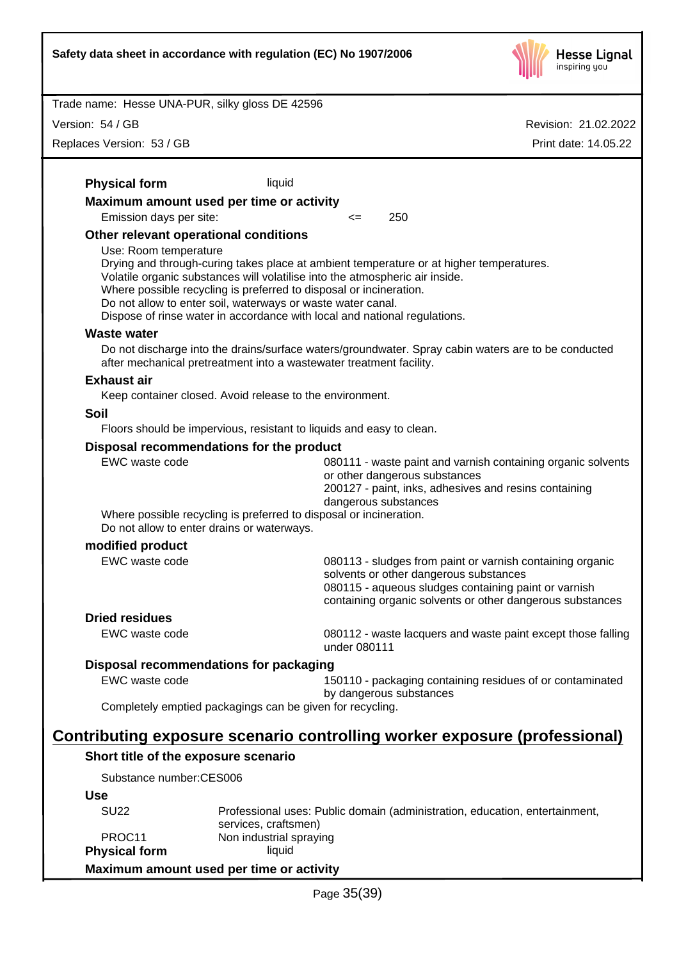| Safety data sheet in accordance with regulation (EC) No 1907/2006                                                                                                   |                                                             |                                                                                                                                                                                                                                                                                                                            |  | <b>Hesse Lignal</b><br>inspiring you |  |
|---------------------------------------------------------------------------------------------------------------------------------------------------------------------|-------------------------------------------------------------|----------------------------------------------------------------------------------------------------------------------------------------------------------------------------------------------------------------------------------------------------------------------------------------------------------------------------|--|--------------------------------------|--|
| Trade name: Hesse UNA-PUR, silky gloss DE 42596                                                                                                                     |                                                             |                                                                                                                                                                                                                                                                                                                            |  |                                      |  |
| Version: 54 / GB                                                                                                                                                    |                                                             |                                                                                                                                                                                                                                                                                                                            |  | Revision: 21.02.2022                 |  |
| Replaces Version: 53 / GB                                                                                                                                           |                                                             |                                                                                                                                                                                                                                                                                                                            |  | Print date: 14.05.22                 |  |
| <b>Physical form</b>                                                                                                                                                | liquid                                                      |                                                                                                                                                                                                                                                                                                                            |  |                                      |  |
| Maximum amount used per time or activity                                                                                                                            |                                                             |                                                                                                                                                                                                                                                                                                                            |  |                                      |  |
| Emission days per site:                                                                                                                                             |                                                             | 250<br>$\leq$                                                                                                                                                                                                                                                                                                              |  |                                      |  |
| Other relevant operational conditions                                                                                                                               |                                                             |                                                                                                                                                                                                                                                                                                                            |  |                                      |  |
| Use: Room temperature                                                                                                                                               | Do not allow to enter soil, waterways or waste water canal. | Drying and through-curing takes place at ambient temperature or at higher temperatures.<br>Volatile organic substances will volatilise into the atmospheric air inside.<br>Where possible recycling is preferred to disposal or incineration.<br>Dispose of rinse water in accordance with local and national regulations. |  |                                      |  |
| <b>Waste water</b>                                                                                                                                                  |                                                             |                                                                                                                                                                                                                                                                                                                            |  |                                      |  |
|                                                                                                                                                                     |                                                             | Do not discharge into the drains/surface waters/groundwater. Spray cabin waters are to be conducted<br>after mechanical pretreatment into a wastewater treatment facility.                                                                                                                                                 |  |                                      |  |
| <b>Exhaust air</b>                                                                                                                                                  | Keep container closed. Avoid release to the environment.    |                                                                                                                                                                                                                                                                                                                            |  |                                      |  |
| Soil                                                                                                                                                                |                                                             |                                                                                                                                                                                                                                                                                                                            |  |                                      |  |
|                                                                                                                                                                     |                                                             | Floors should be impervious, resistant to liquids and easy to clean.                                                                                                                                                                                                                                                       |  |                                      |  |
| Disposal recommendations for the product<br>EWC waste code                                                                                                          | Do not allow to enter drains or waterways.                  | 080111 - waste paint and varnish containing organic solvents<br>or other dangerous substances<br>200127 - paint, inks, adhesives and resins containing<br>dangerous substances<br>Where possible recycling is preferred to disposal or incineration.                                                                       |  |                                      |  |
| modified product                                                                                                                                                    |                                                             |                                                                                                                                                                                                                                                                                                                            |  |                                      |  |
| EWC waste code                                                                                                                                                      |                                                             | 080113 - sludges from paint or varnish containing organic<br>solvents or other dangerous substances<br>080115 - aqueous sludges containing paint or varnish<br>containing organic solvents or other dangerous substances                                                                                                   |  |                                      |  |
| <b>Dried residues</b>                                                                                                                                               |                                                             |                                                                                                                                                                                                                                                                                                                            |  |                                      |  |
| EWC waste code                                                                                                                                                      |                                                             | 080112 - waste lacquers and waste paint except those falling<br>under 080111                                                                                                                                                                                                                                               |  |                                      |  |
| Disposal recommendations for packaging                                                                                                                              |                                                             |                                                                                                                                                                                                                                                                                                                            |  |                                      |  |
| EWC waste code<br>150110 - packaging containing residues of or contaminated<br>by dangerous substances<br>Completely emptied packagings can be given for recycling. |                                                             |                                                                                                                                                                                                                                                                                                                            |  |                                      |  |
|                                                                                                                                                                     |                                                             |                                                                                                                                                                                                                                                                                                                            |  |                                      |  |
|                                                                                                                                                                     |                                                             | Contributing exposure scenario controlling worker exposure (professional)                                                                                                                                                                                                                                                  |  |                                      |  |
| Short title of the exposure scenario                                                                                                                                |                                                             |                                                                                                                                                                                                                                                                                                                            |  |                                      |  |
| Substance number:CES006                                                                                                                                             |                                                             |                                                                                                                                                                                                                                                                                                                            |  |                                      |  |
| <b>Use</b>                                                                                                                                                          |                                                             |                                                                                                                                                                                                                                                                                                                            |  |                                      |  |
| <b>SU22</b>                                                                                                                                                         |                                                             | Professional uses: Public domain (administration, education, entertainment,<br>services, craftsmen)                                                                                                                                                                                                                        |  |                                      |  |
| PROC11<br><b>Physical form</b>                                                                                                                                      | Non industrial spraying<br>liquid                           |                                                                                                                                                                                                                                                                                                                            |  |                                      |  |
| Maximum amount used per time or activity                                                                                                                            |                                                             |                                                                                                                                                                                                                                                                                                                            |  |                                      |  |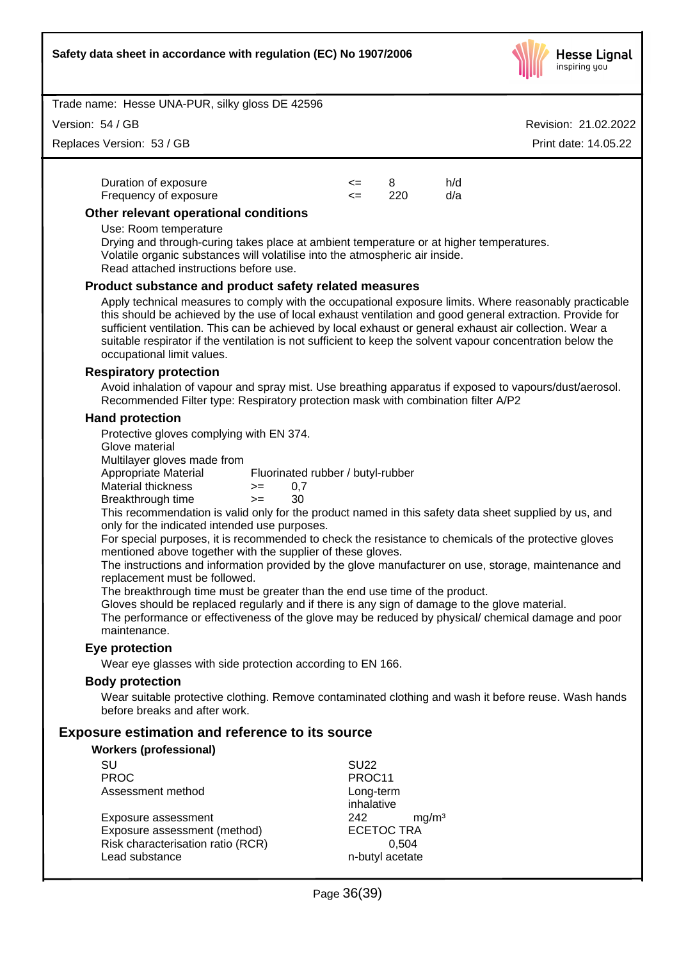

Revision: 21.02.2022

Print date: 14.05.22

Trade name: Hesse UNA-PUR, silky gloss DE 42596

Version: 54 / GB

Replaces Version: 53 / GB

| Duration of exposure  | <= 8       | h/d |
|-----------------------|------------|-----|
| Frequency of exposure | $\leq$ 220 | d/a |
|                       |            |     |

## **Other relevant operational conditions**

#### Use: Room temperature

Drying and through-curing takes place at ambient temperature or at higher temperatures. Volatile organic substances will volatilise into the atmospheric air inside. Read attached instructions before use.

## **Product substance and product safety related measures**

Apply technical measures to comply with the occupational exposure limits. Where reasonably practicable this should be achieved by the use of local exhaust ventilation and good general extraction. Provide for sufficient ventilation. This can be achieved by local exhaust or general exhaust air collection. Wear a suitable respirator if the ventilation is not sufficient to keep the solvent vapour concentration below the occupational limit values.

## **Respiratory protection**

Avoid inhalation of vapour and spray mist. Use breathing apparatus if exposed to vapours/dust/aerosol. Recommended Filter type: Respiratory protection mask with combination filter A/P2

## **Hand protection**

Protective gloves complying with EN 374.

Glove material

Multilayer gloves made from

Appropriate Material Fluorinated rubber / butyl-rubber

Material thickness  $> = 0.7$ Breakthrough time >= 30

This recommendation is valid only for the product named in this safety data sheet supplied by us, and only for the indicated intended use purposes.

For special purposes, it is recommended to check the resistance to chemicals of the protective gloves mentioned above together with the supplier of these gloves.

The instructions and information provided by the glove manufacturer on use, storage, maintenance and replacement must be followed.

The breakthrough time must be greater than the end use time of the product.

Gloves should be replaced regularly and if there is any sign of damage to the glove material.

The performance or effectiveness of the glove may be reduced by physical/chemical damage and poor maintenance.

## **Eye protection**

Wear eye glasses with side protection according to EN 166.

## **Body protection**

Wear suitable protective clothing. Remove contaminated clothing and wash it before reuse. Wash hands before breaks and after work.

# **Exposure estimation and reference to its source**

## **Workers (professional)**

SU SU22 PROC PROCTER PROCTER PROCTER PROCTER PROCTER PROCTER PROCTER PROCTER PROCTER PROCTER PROCTER PROCTER PROCTER PROCTER PROCTER PROCTER PROCTER PROCTER PROCTER PROCTER PROCTER PROCTER PROCTER PROCTER PROCTER PROCTER PROCTER P Assessment method by Long-term

Exposure assessment <br>
Exposure assessment (method) 
<br>
ECETOC TRA Exposure assessment (method) Risk characterisation ratio (RCR) 0,504 Lead substance n-butyl acetate

inhalative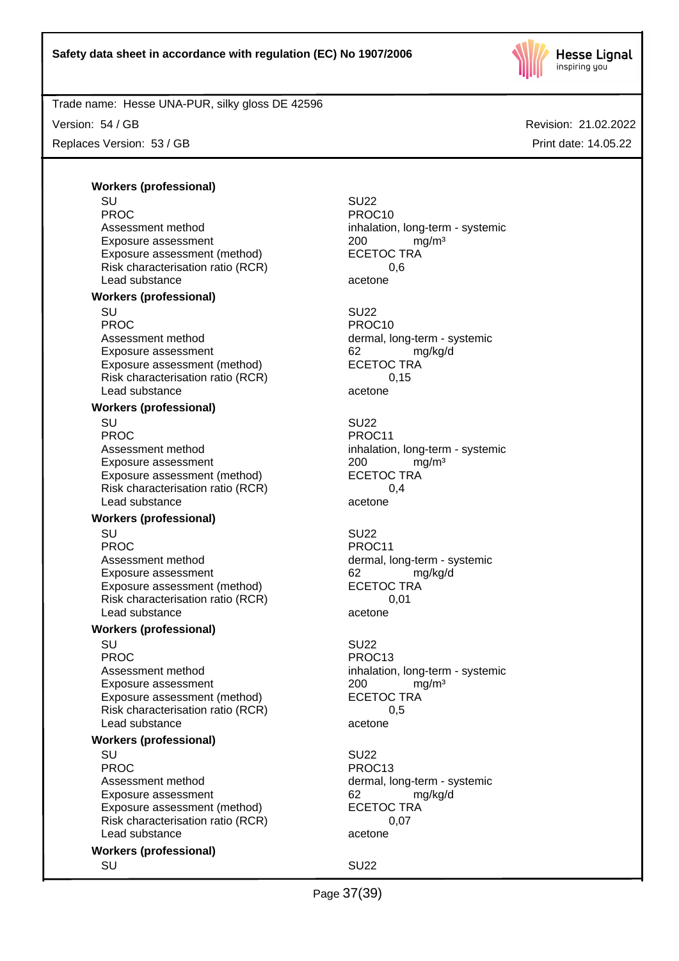

Version: 54 / GB

Replaces Version: 53 / GB

Revision: 21.02.2022 Print date: 14.05.22

**Workers (professional)** SU SU22

PROC PROCTER PROCTER PROCTER PROCTER PROCTER PROCTER PROCTER PROCTER PROCTER PROCTER PROCTER PROCTER PROCTER P Assessment method inhalation, long-term - systemic Exposure assessment 200 mg/m<sup>3</sup> Exposure assessment (method) ECETOC TRA Risk characterisation ratio (RCR) 0,6 Lead substance acetone

## **Workers (professional)**

SU SU22 PROC PROCTER PROCTER PROCTER PROCTER PROCTER PROCTER PROCTER PROCTER PROCTER PROCTER PROCTER PROCTER PROCTER P Assessment method dermal, long-term - systemic Exposure assessment and the manufacture of the exposure assessment (method) and the ECETOC TRA controller assessment (method) and the ECETOC TRA Exposure assessment (method) Risk characterisation ratio (RCR) 0,15 Lead substance acetone

## **Workers (professional)**

SU SU22 PROC PROCTER PROCTER PROCTER PROCTER PROCTER PROCTER PROCTER PROCTER PROCTER PROCTER PROCTER PROCTER PROCTER PROCTER PROCTER PROCTER PROCTER PROCTER PROCTER PROCTER PROCTER PROCTER PROCTER PROCTER PROCTER PROCTER PROCTER P Assessment method inhalation, long-term - systemic Exposure assessment  $200$  mg/m<sup>3</sup><br>Exposure assessment (method) ECETOC TRA Exposure assessment (method) Risk characterisation ratio (RCR) 0,4 Lead substance acetone

## **Workers (professional)**

SU SU22 PROC PROCTER PROCTER PROCTER PROCTER PROCTER PROCTER PROCTER PROCTER PROCTER PROCTER PROCTER PROCTER PROCTER PROCTER PROCTER PROCTER PROCTER PROCTER PROCTER PROCTER PROCTER PROCTER PROCTER PROCTER PROCTER PROCTER PROCTER P Assessment method dermal, long-term - systemic Exposure assessment 62 mg/kg/d Exposure assessment (method) ECETOC TRA Risk characterisation ratio (RCR) 0,01 Lead substance acetone

## **Workers (professional)**

SU SU22 PROC PROC13 Assessment method inhalation, long-term - systemic Exposure assessment <br>
Exposure assessment (method) ECETOC TRA Exposure assessment (method) Risk characterisation ratio (RCR) 6.5 Lead substance acetone

## **Workers (professional)**

SU SU22 PROC PROC13 Assessment method dermal, long-term - systemic Exposure assessment and the control of the control of the ECETOC TRA<br>Exposure assessment (method) ECETOC TRA Exposure assessment (method) Risk characterisation ratio (RCR) 0,07 Lead substance acetone

## **Workers (professional)**

SU SU22

mg/kg/d

Page 37(39)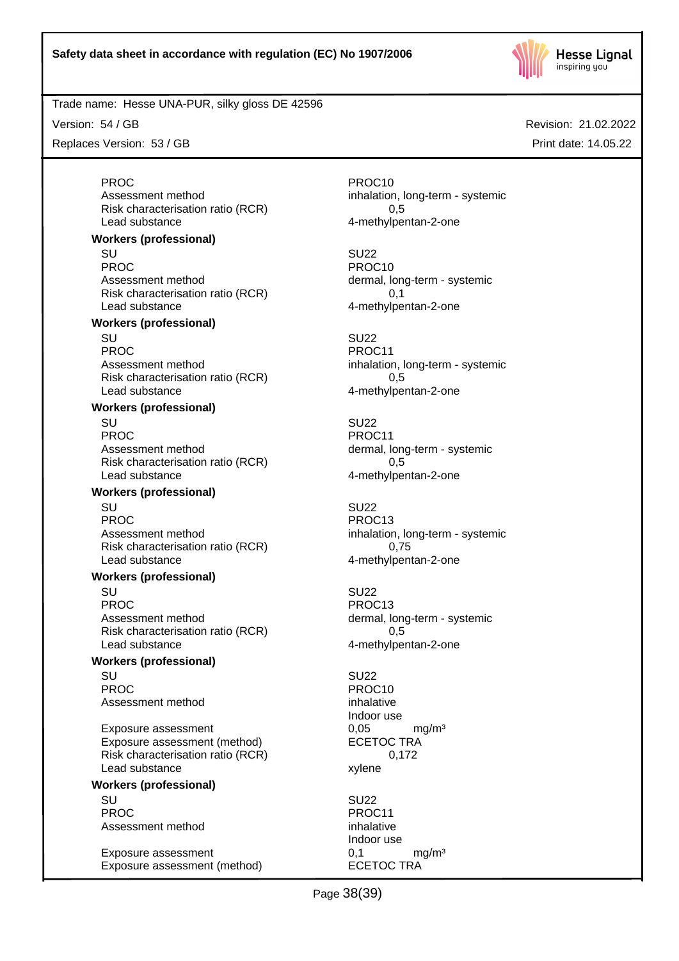

Trade name: Hesse UNA-PUR, silky gloss DE 42596

Version: 54 / GB

Replaces Version: 53 / GB

**Workers (professional)**

**Workers (professional)**

PROC PROCTER PROCTER PROCTER PROCTER PROCTER PROCTER PROCTER PROCTER PROCTER PROCTER PROCTER PROCTER PROCTER P Assessment method inhalation, long-term - systemic Risk characterisation ratio (RCR) 0,5

SU SU22 PROC PROCTER PROCTER PROCTER PROCTER PROCTER PROCTER PROCTER PROCTER PROCTER PROCTER PROCTER PROCTER PROCTER P Assessment method dermal, long-term - systemic

PROC PROCTER PROCTER PROCTER PROCTER PROCTER PROCTER PROCTER PROCTER PROCTER PROCTER PROCTER PROCTER PROCTER PROCTER PROCTER PROCTER PROCTER PROCTER PROCTER PROCTER PROCTER PROCTER PROCTER PROCTER PROCTER PROCTER PROCTER P Assessment method inhalation, long-term - systemic

SU SU22

Indoor use

SU SU22 Indoor use

Lead substance and the 4-methylpentan-2-one

Risk characterisation ratio (RCR) 0,1 Lead substance and the 4-methylpentan-2-one

SU SU22 Risk characterisation ratio (RCR) 0,5 Lead substance and the 4-methylpentan-2-one

**Workers (professional)** SU SU22 PROC PROCTER PROCTER PROCTER PROCTER PROCTER PROCTER PROCTER PROCTER PROCTER PROCTER PROCTER PROCTER PROCTER PROCTER PROCTER PROCTER PROCTER PROCTER PROCTER PROCTER PROCTER PROCTER PROCTER PROCTER PROCTER PROCTER PROCTER P

Assessment method dermal, long-term - systemic Risk characterisation ratio (RCR) 0,5 Lead substance and the 4-methylpentan-2-one

## **Workers (professional)**

PROC PROC13 Assessment method inhalation, long-term - systemic Risk characterisation ratio (RCR) 0,75 Lead substance and the 4-methylpentan-2-one

#### **Workers (professional)**

SU SU22 PROC PROC13 Assessment method dermal, long-term - systemic Risk characterisation ratio (RCR) 0,5 Lead substance and the 4-methylpentan-2-one

#### **Workers (professional)**

SU SU22 PROC PROCTER PROCTER PROCTER PROCTER PROCTER PROCTER PROCTER PROCTER PROCTER PROCTER PROCTER PROCTER PROCTER P Assessment method inhalative

Exposure assessment 0,05 mg/m³ Exposure assessment (method) Risk characterisation ratio (RCR) 0,172 Lead substance xylene

**Workers (professional)**

PROC PROCTER PROCTER PROCTER PROCTER PROCTER PROCTER PROCTER PROCTER PROCTER PROCTER PROCTER PROCTER PROCTER PROCTER PROCTER PROCTER PROCTER PROCTER PROCTER PROCTER PROCTER PROCTER PROCTER PROCTER PROCTER PROCTER PROCTER P Assessment method inhalative

Exposure assessment 0,1 mg/m<sup>3</sup> Exposure assessment (method) ECETOC TRA